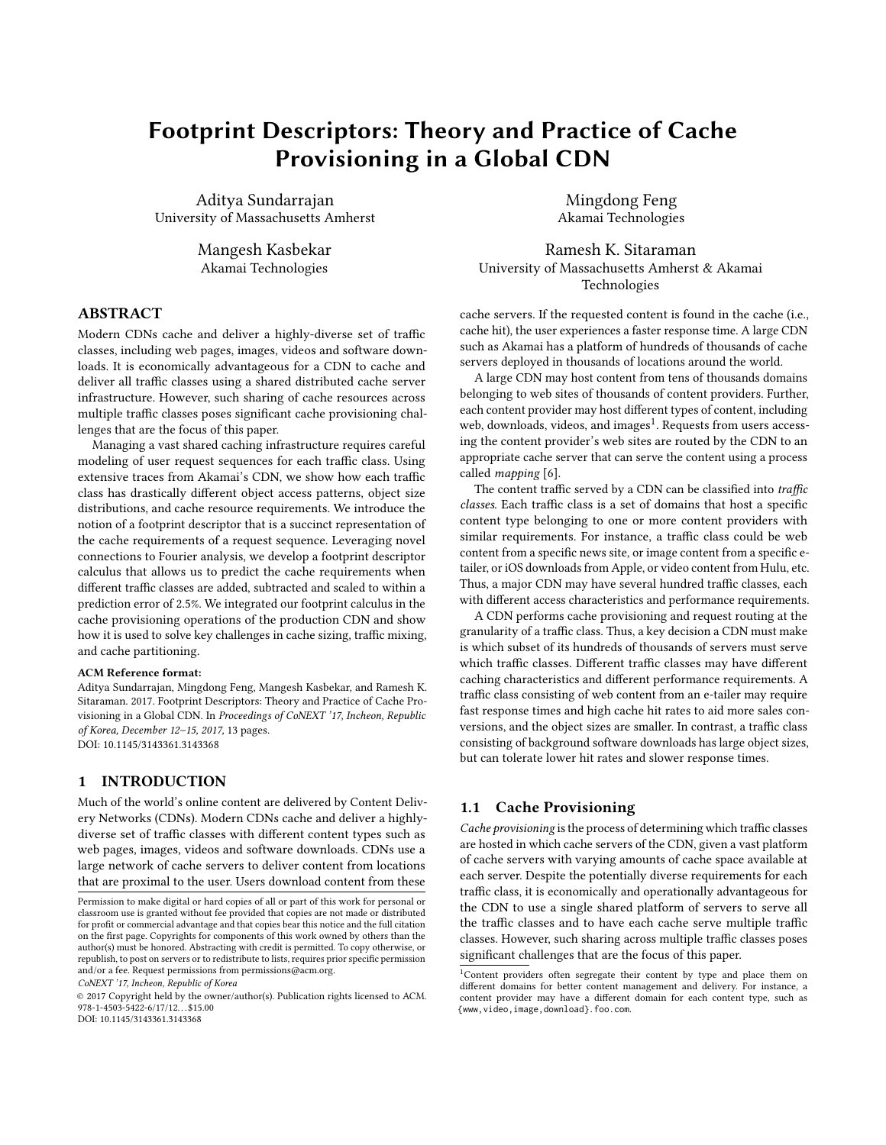# Footprint Descriptors: Theory and Practice of Cache Provisioning in a Global CDN

Aditya Sundarrajan University of Massachusetts Amherst

> Mangesh Kasbekar Akamai Technologies

# ABSTRACT

Modern CDNs cache and deliver a highly-diverse set of traffic classes, including web pages, images, videos and software downloads. It is economically advantageous for a CDN to cache and deliver all traffic classes using a shared distributed cache server infrastructure. However, such sharing of cache resources across multiple traffic classes poses significant cache provisioning challenges that are the focus of this paper.

Managing a vast shared caching infrastructure requires careful modeling of user request sequences for each traffic class. Using extensive traces from Akamai's CDN, we show how each traffic class has drastically different object access patterns, object size distributions, and cache resource requirements. We introduce the notion of a footprint descriptor that is a succinct representation of the cache requirements of a request sequence. Leveraging novel connections to Fourier analysis, we develop a footprint descriptor calculus that allows us to predict the cache requirements when different traffic classes are added, subtracted and scaled to within a prediction error of 2.5%. We integrated our footprint calculus in the cache provisioning operations of the production CDN and show how it is used to solve key challenges in cache sizing, traffic mixing, and cache partitioning.

#### ACM Reference format:

Aditya Sundarrajan, Mingdong Feng, Mangesh Kasbekar, and Ramesh K. Sitaraman. 2017. Footprint Descriptors: Theory and Practice of Cache Provisioning in a Global CDN. In Proceedings of CoNEXT '17, Incheon, Republic of Korea, December 12–15, 2017, [13](#page-12-0) pages. DOI: 10.1145/3143361.3143368

## 1 INTRODUCTION

Much of the world's online content are delivered by Content Delivery Networks (CDNs). Modern CDNs cache and deliver a highlydiverse set of traffic classes with different content types such as web pages, images, videos and software downloads. CDNs use a large network of cache servers to deliver content from locations that are proximal to the user. Users download content from these

CoNEXT '17, Incheon, Republic of Korea

© 2017 Copyright held by the owner/author(s). Publication rights licensed to ACM.  $978 - 1 - 4503 - 5422 - 6/17/12...$ \$15.00 DOI: 10.1145/3143361.3143368

Mingdong Feng Akamai Technologies

Ramesh K. Sitaraman University of Massachusetts Amherst & Akamai Technologies

cache servers. If the requested content is found in the cache (i.e., cache hit), the user experiences a faster response time. A large CDN such as Akamai has a platform of hundreds of thousands of cache servers deployed in thousands of locations around the world.

A large CDN may host content from tens of thousands domains belonging to web sites of thousands of content providers. Further, each content provider may host different types of content, including web, downloads, videos, and images<sup>[1](#page-0-0)</sup>. Requests from users accessing the content provider's web sites are routed by the CDN to an appropriate cache server that can serve the content using a process called mapping [\[6\]](#page-12-1).

The content traffic served by a CDN can be classified into traffic classes. Each traffic class is a set of domains that host a specific content type belonging to one or more content providers with similar requirements. For instance, a traffic class could be web content from a specific news site, or image content from a specific etailer, or iOS downloads from Apple, or video content from Hulu, etc. Thus, a major CDN may have several hundred traffic classes, each with different access characteristics and performance requirements.

A CDN performs cache provisioning and request routing at the granularity of a traffic class. Thus, a key decision a CDN must make is which subset of its hundreds of thousands of servers must serve which traffic classes. Different traffic classes may have different caching characteristics and different performance requirements. A traffic class consisting of web content from an e-tailer may require fast response times and high cache hit rates to aid more sales conversions, and the object sizes are smaller. In contrast, a traffic class consisting of background software downloads has large object sizes, but can tolerate lower hit rates and slower response times.

#### 1.1 Cache Provisioning

Cache provisioning is the process of determining which traffic classes are hosted in which cache servers of the CDN, given a vast platform of cache servers with varying amounts of cache space available at each server. Despite the potentially diverse requirements for each traffic class, it is economically and operationally advantageous for the CDN to use a single shared platform of servers to serve all the traffic classes and to have each cache serve multiple traffic classes. However, such sharing across multiple traffic classes poses significant challenges that are the focus of this paper.

Permission to make digital or hard copies of all or part of this work for personal or classroom use is granted without fee provided that copies are not made or distributed for profit or commercial advantage and that copies bear this notice and the full citation on the first page. Copyrights for components of this work owned by others than the author(s) must be honored. Abstracting with credit is permitted. To copy otherwise, or republish, to post on servers or to redistribute to lists, requires prior specific permission and/or a fee. Request permissions from permissions@acm.org.

<span id="page-0-0"></span> $1$ Content providers often segregate their content by type and place them on different domains for better content management and delivery. For instance, a content provider may have a different domain for each content type, such as {www,video,image,download}.foo.com.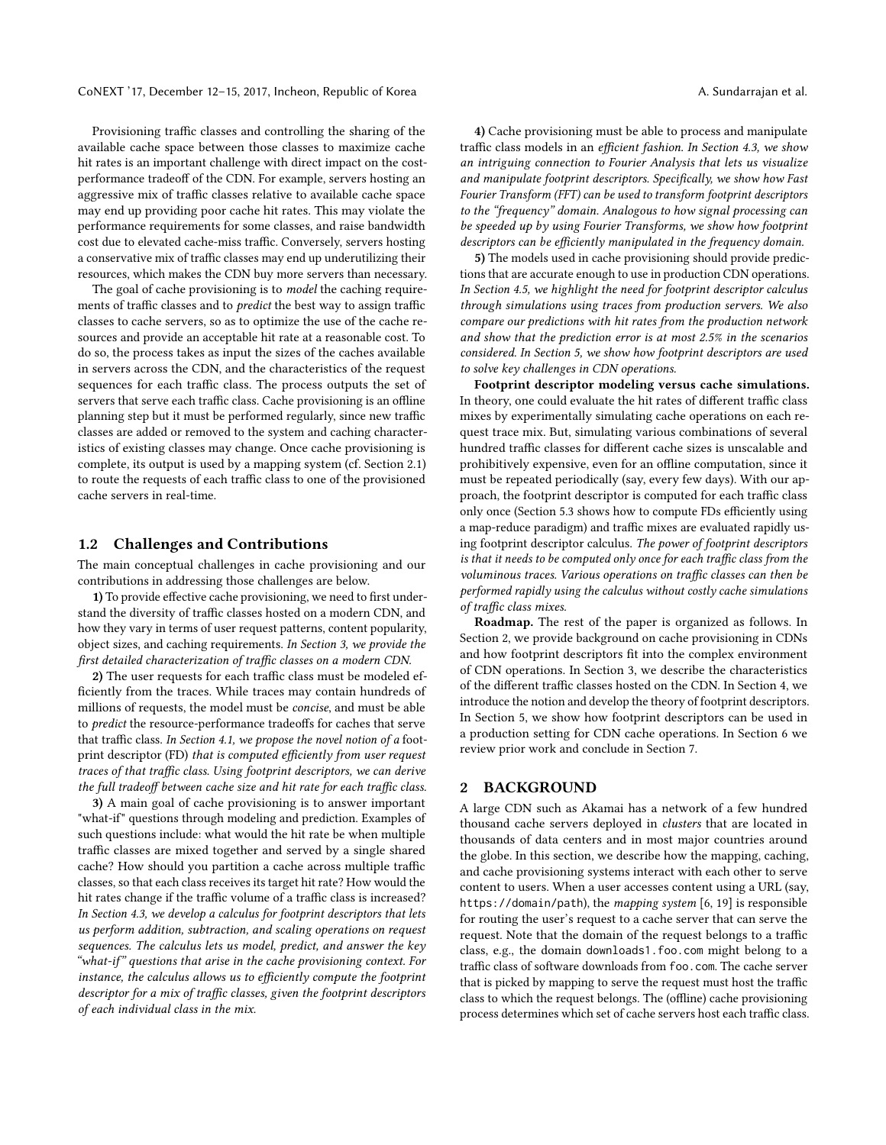Provisioning traffic classes and controlling the sharing of the available cache space between those classes to maximize cache hit rates is an important challenge with direct impact on the costperformance tradeoff of the CDN. For example, servers hosting an aggressive mix of traffic classes relative to available cache space may end up providing poor cache hit rates. This may violate the performance requirements for some classes, and raise bandwidth cost due to elevated cache-miss traffic. Conversely, servers hosting a conservative mix of traffic classes may end up underutilizing their resources, which makes the CDN buy more servers than necessary.

The goal of cache provisioning is to *model* the caching requirements of traffic classes and to *predict* the best way to assign traffic classes to cache servers, so as to optimize the use of the cache resources and provide an acceptable hit rate at a reasonable cost. To do so, the process takes as input the sizes of the caches available in servers across the CDN, and the characteristics of the request sequences for each traffic class. The process outputs the set of servers that serve each traffic class. Cache provisioning is an offline planning step but it must be performed regularly, since new traffic classes are added or removed to the system and caching characteristics of existing classes may change. Once cache provisioning is complete, its output is used by a mapping system (cf. Section [2.1\)](#page-2-0) to route the requests of each traffic class to one of the provisioned cache servers in real-time.

#### <span id="page-1-1"></span>1.2 Challenges and Contributions

The main conceptual challenges in cache provisioning and our contributions in addressing those challenges are below.

1) To provide effective cache provisioning, we need to first understand the diversity of traffic classes hosted on a modern CDN, and how they vary in terms of user request patterns, content popularity, object sizes, and caching requirements. In Section [3,](#page-2-1) we provide the first detailed characterization of traffic classes on a modern CDN.

2) The user requests for each traffic class must be modeled efficiently from the traces. While traces may contain hundreds of millions of requests, the model must be concise, and must be able to *predict* the resource-performance tradeoffs for caches that serve that traffic class. In Section [4.1,](#page-4-0) we propose the novel notion of a footprint descriptor (FD) that is computed efficiently from user request traces of that traffic class. Using footprint descriptors, we can derive the full tradeoff between cache size and hit rate for each traffic class.

3) A main goal of cache provisioning is to answer important "what-if" questions through modeling and prediction. Examples of such questions include: what would the hit rate be when multiple traffic classes are mixed together and served by a single shared cache? How should you partition a cache across multiple traffic classes, so that each class receives its target hit rate? How would the hit rates change if the traffic volume of a traffic class is increased? In Section [4.3,](#page-4-1) we develop a calculus for footprint descriptors that lets us perform addition, subtraction, and scaling operations on request sequences. The calculus lets us model, predict, and answer the key "what-if" questions that arise in the cache provisioning context. For instance, the calculus allows us to efficiently compute the footprint descriptor for a mix of traffic classes, given the footprint descriptors of each individual class in the mix.

4) Cache provisioning must be able to process and manipulate traffic class models in an efficient fashion. In Section [4.3,](#page-4-1) we show an intriguing connection to Fourier Analysis that lets us visualize and manipulate footprint descriptors. Specifically, we show how Fast Fourier Transform (FFT) can be used to transform footprint descriptors to the "frequency" domain. Analogous to how signal processing can be speeded up by using Fourier Transforms, we show how footprint descriptors can be efficiently manipulated in the frequency domain.

5) The models used in cache provisioning should provide predictions that are accurate enough to use in production CDN operations. In Section [4.5,](#page-6-0) we highlight the need for footprint descriptor calculus through simulations using traces from production servers. We also compare our predictions with hit rates from the production network and show that the prediction error is at most 2.5% in the scenarios considered. In Section [5,](#page-8-0) we show how footprint descriptors are used to solve key challenges in CDN operations.

Footprint descriptor modeling versus cache simulations. In theory, one could evaluate the hit rates of different traffic class mixes by experimentally simulating cache operations on each request trace mix. But, simulating various combinations of several hundred traffic classes for different cache sizes is unscalable and prohibitively expensive, even for an offline computation, since it must be repeated periodically (say, every few days). With our approach, the footprint descriptor is computed for each traffic class only once (Section [5.3](#page-10-0) shows how to compute FDs efficiently using a map-reduce paradigm) and traffic mixes are evaluated rapidly using footprint descriptor calculus. The power of footprint descriptors is that it needs to be computed only once for each traffic class from the voluminous traces. Various operations on traffic classes can then be performed rapidly using the calculus without costly cache simulations of traffic class mixes.

Roadmap. The rest of the paper is organized as follows. In Section [2,](#page-1-0) we provide background on cache provisioning in CDNs and how footprint descriptors fit into the complex environment of CDN operations. In Section [3,](#page-2-1) we describe the characteristics of the different traffic classes hosted on the CDN. In Section [4,](#page-4-2) we introduce the notion and develop the theory of footprint descriptors. In Section [5,](#page-8-0) we show how footprint descriptors can be used in a production setting for CDN cache operations. In Section [6](#page-11-0) we review prior work and conclude in Section [7.](#page-11-1)

## <span id="page-1-0"></span>2 BACKGROUND

A large CDN such as Akamai has a network of a few hundred thousand cache servers deployed in clusters that are located in thousands of data centers and in most major countries around the globe. In this section, we describe how the mapping, caching, and cache provisioning systems interact with each other to serve content to users. When a user accesses content using a URL (say, https://domain/path), the mapping system [\[6,](#page-12-1) [19\]](#page-12-2) is responsible for routing the user's request to a cache server that can serve the request. Note that the domain of the request belongs to a traffic class, e.g., the domain downloads1.foo.com might belong to a traffic class of software downloads from foo.com. The cache server that is picked by mapping to serve the request must host the traffic class to which the request belongs. The (offline) cache provisioning process determines which set of cache servers host each traffic class.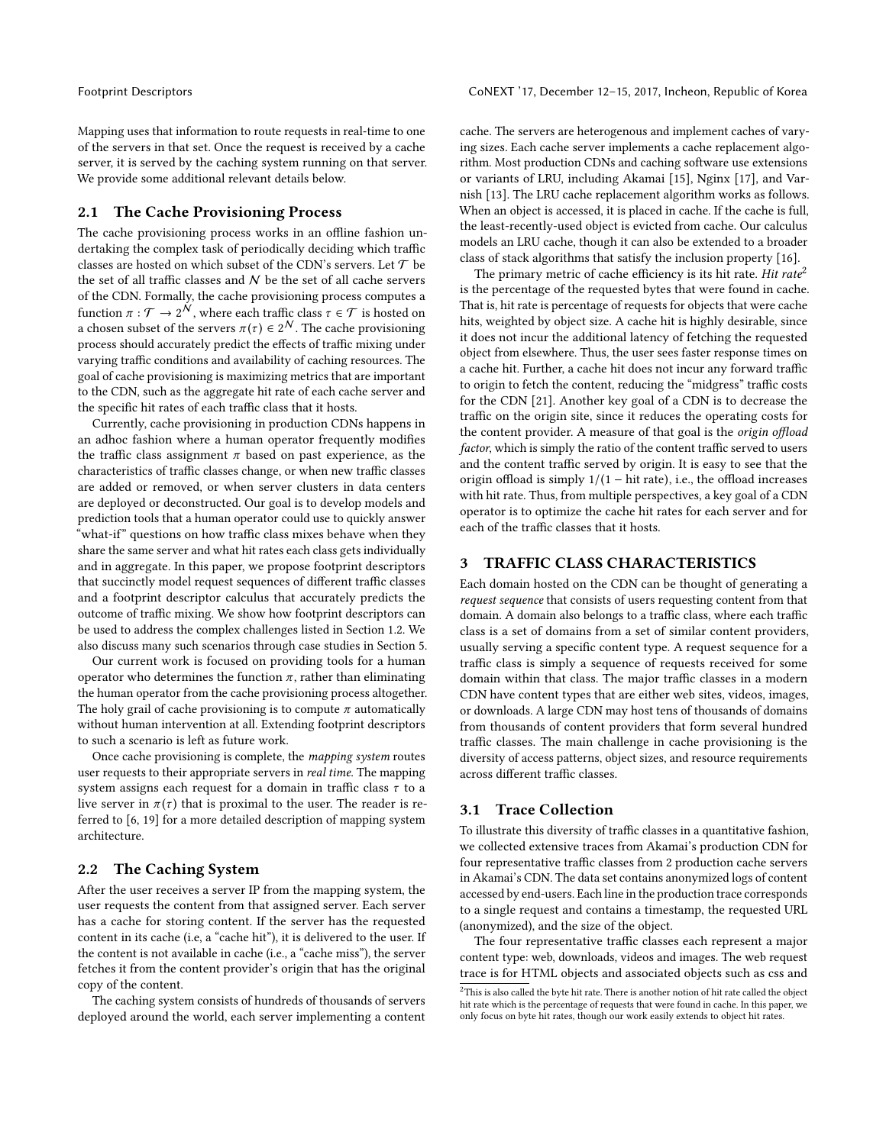Mapping uses that information to route requests in real-time to one of the servers in that set. Once the request is received by a cache server, it is served by the caching system running on that server. We provide some additional relevant details below.

#### <span id="page-2-0"></span>2.1 The Cache Provisioning Process

The cache provisioning process works in an offline fashion undertaking the complex task of periodically deciding which traffic classes are hosted on which subset of the CDN's servers. Let  ${\mathcal T}$  be the set of all traffic classes and  $N$  be the set of all cache servers of the CDN. Formally, the cache provisioning process computes a function  $\pi: \mathcal{T} \to 2^{\mathcal{N}}$ , where each traffic class  $\tau \in \mathcal{T}$  is hosted on a chosen subset of the servers  $\pi(\tau) \in 2^{\mathcal{N}}$  . The cache provisioning process should accurately predict the effects of traffic mixing under varying traffic conditions and availability of caching resources. The goal of cache provisioning is maximizing metrics that are important to the CDN, such as the aggregate hit rate of each cache server and the specific hit rates of each traffic class that it hosts.

Currently, cache provisioning in production CDNs happens in an adhoc fashion where a human operator frequently modifies the traffic class assignment  $\pi$  based on past experience, as the characteristics of traffic classes change, or when new traffic classes are added or removed, or when server clusters in data centers are deployed or deconstructed. Our goal is to develop models and prediction tools that a human operator could use to quickly answer "what-if" questions on how traffic class mixes behave when they share the same server and what hit rates each class gets individually and in aggregate. In this paper, we propose footprint descriptors that succinctly model request sequences of different traffic classes and a footprint descriptor calculus that accurately predicts the outcome of traffic mixing. We show how footprint descriptors can be used to address the complex challenges listed in Section [1.2.](#page-1-1) We also discuss many such scenarios through case studies in Section [5.](#page-8-0)

Our current work is focused on providing tools for a human operator who determines the function  $\pi$ , rather than eliminating the human operator from the cache provisioning process altogether. The holy grail of cache provisioning is to compute  $\pi$  automatically without human intervention at all. Extending footprint descriptors to such a scenario is left as future work.

Once cache provisioning is complete, the mapping system routes user requests to their appropriate servers in real time. The mapping system assigns each request for a domain in traffic class  $\tau$  to a live server in  $\pi(\tau)$  that is proximal to the user. The reader is referred to [\[6,](#page-12-1) [19\]](#page-12-2) for a more detailed description of mapping system architecture.

## 2.2 The Caching System

After the user receives a server IP from the mapping system, the user requests the content from that assigned server. Each server has a cache for storing content. If the server has the requested content in its cache (i.e, a "cache hit"), it is delivered to the user. If the content is not available in cache (i.e., a "cache miss"), the server fetches it from the content provider's origin that has the original copy of the content.

The caching system consists of hundreds of thousands of servers deployed around the world, each server implementing a content cache. The servers are heterogenous and implement caches of varying sizes. Each cache server implements a cache replacement algorithm. Most production CDNs and caching software use extensions or variants of LRU, including Akamai [\[15\]](#page-12-3), Nginx [\[17\]](#page-12-4), and Varnish [\[13\]](#page-12-5). The LRU cache replacement algorithm works as follows. When an object is accessed, it is placed in cache. If the cache is full, the least-recently-used object is evicted from cache. Our calculus models an LRU cache, though it can also be extended to a broader class of stack algorithms that satisfy the inclusion property [\[16\]](#page-12-6).

The primary metric of cache efficiency is its hit rate. Hit rate<sup>[2](#page-2-2)</sup> is the percentage of the requested bytes that were found in cache. That is, hit rate is percentage of requests for objects that were cache hits, weighted by object size. A cache hit is highly desirable, since it does not incur the additional latency of fetching the requested object from elsewhere. Thus, the user sees faster response times on a cache hit. Further, a cache hit does not incur any forward traffic to origin to fetch the content, reducing the "midgress" traffic costs for the CDN [\[21\]](#page-12-7). Another key goal of a CDN is to decrease the traffic on the origin site, since it reduces the operating costs for the content provider. A measure of that goal is the origin offload factor, which is simply the ratio of the content traffic served to users and the content traffic served by origin. It is easy to see that the origin offload is simply  $1/(1 - hit rate)$ , i.e., the offload increases with hit rate. Thus, from multiple perspectives, a key goal of a CDN operator is to optimize the cache hit rates for each server and for each of the traffic classes that it hosts.

## <span id="page-2-1"></span>3 TRAFFIC CLASS CHARACTERISTICS

Each domain hosted on the CDN can be thought of generating a request sequence that consists of users requesting content from that domain. A domain also belongs to a traffic class, where each traffic class is a set of domains from a set of similar content providers, usually serving a specific content type. A request sequence for a traffic class is simply a sequence of requests received for some domain within that class. The major traffic classes in a modern CDN have content types that are either web sites, videos, images, or downloads. A large CDN may host tens of thousands of domains from thousands of content providers that form several hundred traffic classes. The main challenge in cache provisioning is the diversity of access patterns, object sizes, and resource requirements across different traffic classes.

## 3.1 Trace Collection

To illustrate this diversity of traffic classes in a quantitative fashion, we collected extensive traces from Akamai's production CDN for four representative traffic classes from 2 production cache servers in Akamai's CDN. The data set contains anonymized logs of content accessed by end-users. Each line in the production trace corresponds to a single request and contains a timestamp, the requested URL (anonymized), and the size of the object.

The four representative traffic classes each represent a major content type: web, downloads, videos and images. The web request trace is for HTML objects and associated objects such as css and

<span id="page-2-2"></span> $^2 \mathrm{This}$  is also called the byte hit rate. There is another notion of hit rate called the object hit rate which is the percentage of requests that were found in cache. In this paper, we only focus on byte hit rates, though our work easily extends to object hit rates.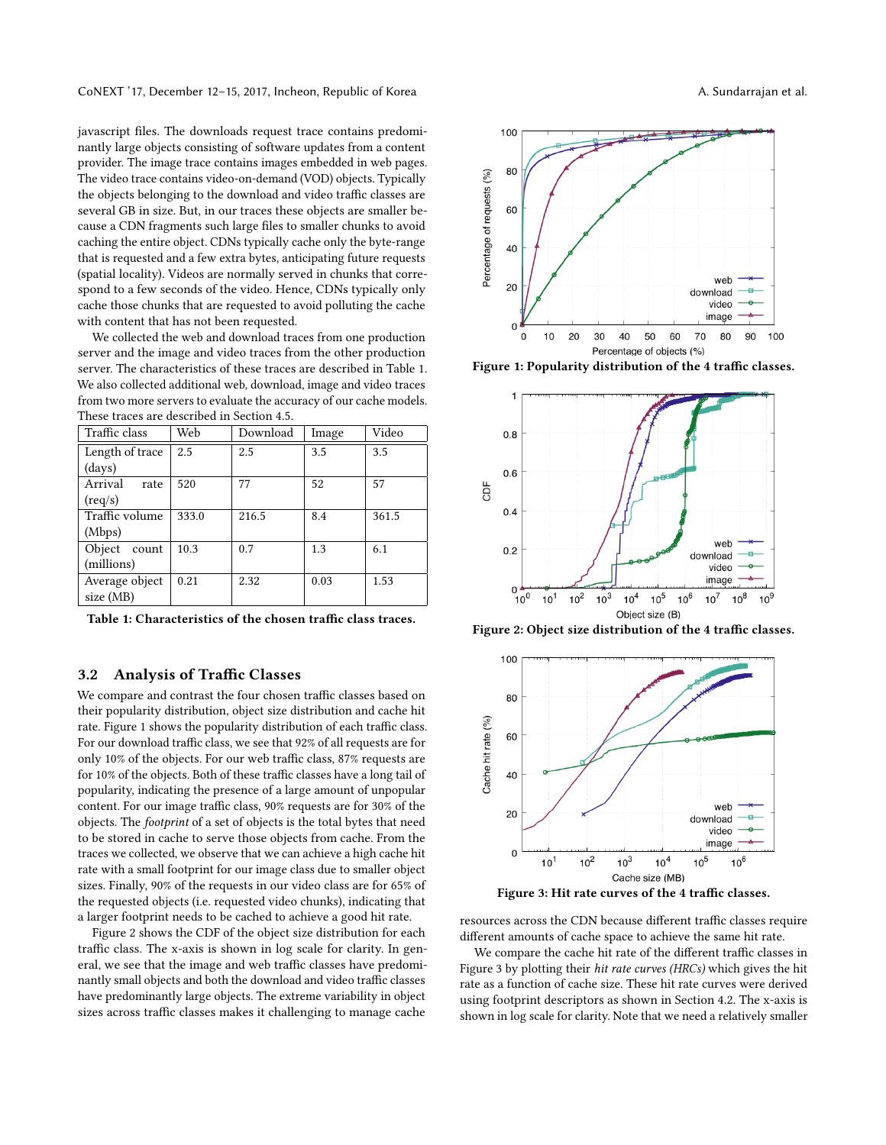javascript files. The downloads request trace contains predominantly large objects consisting of software updates from a content provider. The image trace contains images embedded in web pages. The video trace contains video-on-demand (VOD) objects. Typically the objects belonging to the download and video traffic classes are several GB in size. But, in our traces these objects are smaller because a CDN fragments such large files to smaller chunks to avoid caching the entire object. CDNs typically cache only the byte-range that is requested and a few extra bytes, anticipating future requests (spatial locality). Videos are normally served in chunks that correspond to a few seconds of the video. Hence, CDNs typically only cache those chunks that are requested to avoid polluting the cache with content that has not been requested.

We collected the web and download traces from one production server and the image and video traces from the other production server. The characteristics of these traces are described in Table [1.](#page-3-0) We also collected additional web, download, image and video traces from two more servers to evaluate the accuracy of our cache models. These traces are described in Section [4.5.](#page-6-0)

<span id="page-3-0"></span>

| Traffic class    | Web   | Download | Image | Video |
|------------------|-------|----------|-------|-------|
| Length of trace  | 2.5   | 2.5      | 3.5   | 3.5   |
| $\frac{days}{9}$ |       |          |       |       |
| Arrival<br>rate  | 520   | 77       | 52    | 57    |
| $(\text{req/s})$ |       |          |       |       |
| Traffic volume   | 333.0 | 216.5    | 8.4   | 361.5 |
| (Mbps)           |       |          |       |       |
| Object<br>count  | 10.3  | 0.7      | 1.3   | 6.1   |
| (millions)       |       |          |       |       |
| Average object   | 0.21  | 2.32     | 0.03  | 1.53  |
| size (MB)        |       |          |       |       |

Table 1: Characteristics of the chosen traffic class traces.

## 3.2 Analysis of Traffic Classes

We compare and contrast the four chosen traffic classes based on their popularity distribution, object size distribution and cache hit rate. Figure [1](#page-3-1) shows the popularity distribution of each traffic class. For our download traffic class, we see that 92% of all requests are for only 10% of the objects. For our web traffic class, 87% requests are for 10% of the objects. Both of these traffic classes have a long tail of popularity, indicating the presence of a large amount of unpopular content. For our image traffic class, 90% requests are for 30% of the objects. The footprint of a set of objects is the total bytes that need to be stored in cache to serve those objects from cache. From the traces we collected, we observe that we can achieve a high cache hit rate with a small footprint for our image class due to smaller object sizes. Finally, 90% of the requests in our video class are for 65% of the requested objects (i.e. requested video chunks), indicating that a larger footprint needs to be cached to achieve a good hit rate.

Figure [2](#page-3-2) shows the CDF of the object size distribution for each traffic class. The x-axis is shown in log scale for clarity. In general, we see that the image and web traffic classes have predominantly small objects and both the download and video traffic classes have predominantly large objects. The extreme variability in object sizes across traffic classes makes it challenging to manage cache

<span id="page-3-1"></span>

Figure 1: Popularity distribution of the 4 traffic classes.

<span id="page-3-2"></span>

<span id="page-3-3"></span>Figure 2: Object size distribution of the 4 traffic classes.





resources across the CDN because different traffic classes require different amounts of cache space to achieve the same hit rate.

We compare the cache hit rate of the different traffic classes in Figure [3](#page-3-3) by plotting their hit rate curves (HRCs) which gives the hit rate as a function of cache size. These hit rate curves were derived using footprint descriptors as shown in Section [4.2.](#page-4-3) The x-axis is shown in log scale for clarity. Note that we need a relatively smaller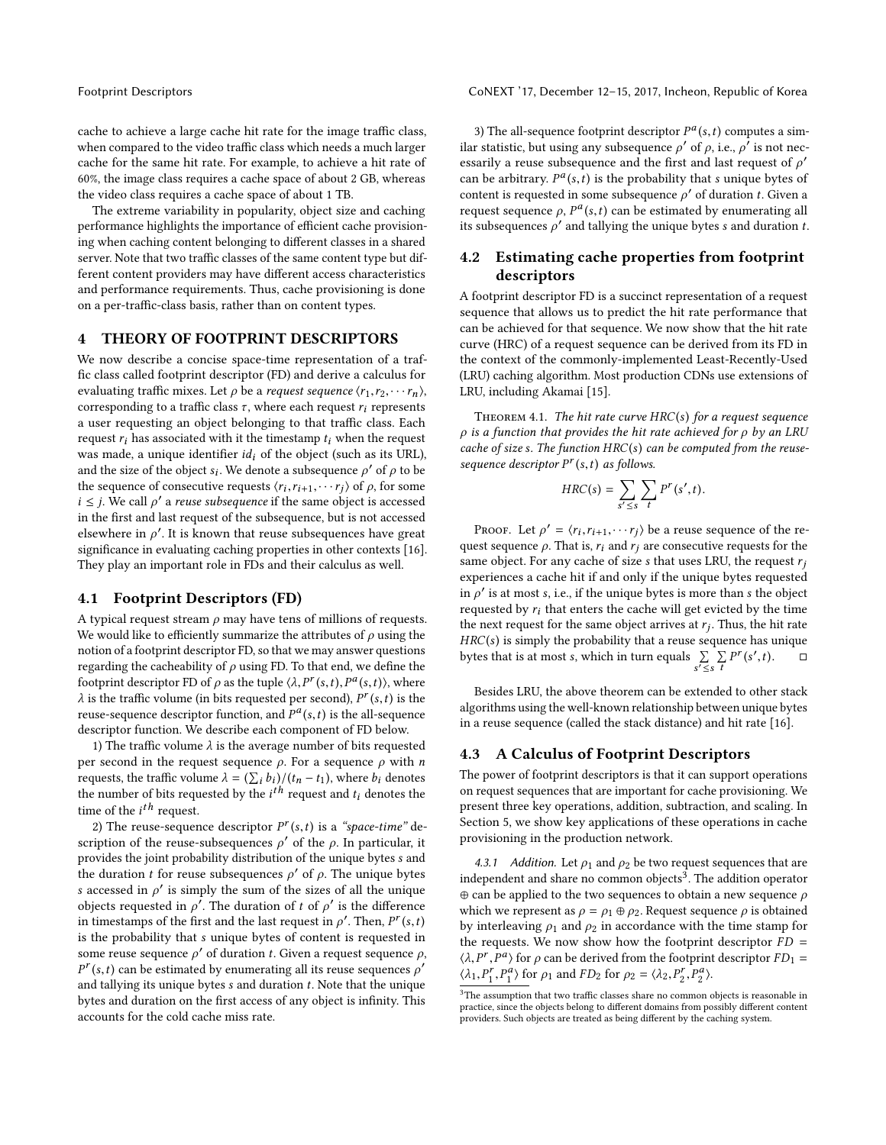cache to achieve a large cache hit rate for the image traffic class, when compared to the video traffic class which needs a much larger cache for the same hit rate. For example, to achieve a hit rate of 60%, the image class requires a cache space of about 2 GB, whereas the video class requires a cache space of about 1 TB.

The extreme variability in popularity, object size and caching performance highlights the importance of efficient cache provisioning when caching content belonging to different classes in a shared server. Note that two traffic classes of the same content type but different content providers may have different access characteristics and performance requirements. Thus, cache provisioning is done on a per-traffic-class basis, rather than on content types.

#### <span id="page-4-2"></span>4 THEORY OF FOOTPRINT DESCRIPTORS

We now describe a concise space-time representation of a traf fic class called footprint descriptor (FD) and derive a calculus for evaluating traffic mixes. Let  $\rho$  be a *request sequence*  $\langle r_1, r_2, \cdots r_n \rangle$ , corresponding to a traffic class  $\tau$ , where each request  $r_i$  represents a user requesting an object belonging to that traffic class. Each request  $r_i$  has associated with it the timestamp  $t_i$  when the request was made, a unique identifier  $id_i$  of the object (such as its URL), and the size of the object  $s_i$ . We denote a subsequence  $\rho'$  of  $\rho$  to be the sequence of consequence  $\left(r, r, \ldots, r\right)$  of a for some the sequence of consecutive requests  $\langle r_i, r_{i+1}, \cdots, r_j \rangle$  of  $\rho$ , for some  $i \leq i$ . We call  $\alpha'$  a reuse subsequence if the same object is accessed  $i \leq j$ . We call  $\rho'$  a reuse subsequence if the same object is accessed in the first and last request of the subsequence, but is not accessed elsewhere in  $\rho'$ . It is known that reuse subsequences have great significance in evaluating caching properties in other contexts [\[16\]](#page-12-6). They play an important role in FDs and their calculus as well.

#### <span id="page-4-0"></span>4.1 Footprint Descriptors (FD)

A typical request stream  $\rho$  may have tens of millions of requests. We would like to efficiently summarize the attributes of  $\rho$  using the notion of a footprint descriptor FD, so that we may answer questions regarding the cacheability of  $\rho$  using FD. To that end, we define the footprint descriptor FD of  $\rho$  as the tuple  $\langle \lambda, P^r(s,t), P^a(s,t) \rangle$ , where  $\lambda$  is the traffic volume (in bits requested per second),  $P^r(s,t)$  is the reuse-sequence descriptor function and  $P^q(s,t)$  is the all-sequence reuse-sequence descriptor function, and  $P^a(s,t)$  is the all-sequence<br>descriptor function. We describe each component of ED below. descriptor function. We describe each component of FD below.

1) The traffic volume  $\lambda$  is the average number of bits requested per second in the request sequence  $ρ$ . For a sequence  $ρ$  with *n* requests, the traffic volume  $\lambda = (\sum_i b_i)/(t_n - t_1)$ , where  $b_i$  denotes the number of hits requested by the *i*<sup>th</sup> request and *t*, denotes the the number of bits requested by the  $i^{th}$  request and  $t_i$  denotes the time of the i<sup>th</sup> request time of the  $i^{th}$  request.

2) The reuse-sequence descriptor  $P^r(s,t)$  is a "space-time" de-<br>intion of the reuse-subsequences of of the a In particular it scription of the reuse-subsequences  $\rho'$  of the  $\rho$ . In particular, it provides the joint probability distribution of the unique bytes s and the duration t for reuse subsequences  $\rho'$  of  $\rho$ . The unique bytes s accessed in  $\rho'$  is simply the sum of the sizes of all the unique objects requested in  $\rho'$ . The duration of t of  $\rho'$  is the difference in timestamps of the first and the last request in  $\rho'$ . Then,  $P^r(s,t)$  is the probability that sumique bytes of content is requested in is the probability that s unique bytes of content is requested in some reuse sequence  $\rho'$  of duration t. Given a request sequence  $\rho$ ,  $P^{r}(s,t)$  can be estimated by enumerating all its reuse sequences  $\rho'$ <br>and tallying its unique bytes s and duration t. Note that the unique and tallying its unique bytes  $s$  and duration  $t$ . Note that the unique bytes and duration on the first access of any object is infinity. This accounts for the cold cache miss rate.

Footprint Descriptors CoNEXT '17, December 12–15, 2017, Incheon, Republic of Korea

3) The all-sequence footprint descriptor  $P^a(s,t)$  computes a sim-<br>r statistic, but using any subsequence of o i.e., of is not necessary ilar statistic, but using any subsequence  $\rho'$  of  $\rho$ , i.e.,  $\rho'$  is not necessarily a reuse subsequence and the first and last request of  $\rho'$ can be arbitrary.  $P^a(s,t)$  is the probability that s unique bytes of content is requested in some subsequence of of duration t. Given a content is requested in some subsequence  $\rho'$  of duration t. Given a request sequence  $\rho$ ,  $P^a(s,t)$  can be estimated by enumerating all<br>its subsequences  $\rho'$  and tallying the unique bytes s and duration t its subsequences  $\rho'$  and tallying the unique bytes s and duration t.

## <span id="page-4-3"></span>4.2 Estimating cache properties from footprint descriptors

A footprint descriptor FD is a succinct representation of a request sequence that allows us to predict the hit rate performance that can be achieved for that sequence. We now show that the hit rate curve (HRC) of a request sequence can be derived from its FD in the context of the commonly-implemented Least-Recently-Used (LRU) caching algorithm. Most production CDNs use extensions of LRU, including Akamai [\[15\]](#page-12-3).

<span id="page-4-6"></span>THEOREM 4.1. The hit rate curve  $HRC(s)$  for a request sequence  $ρ$  is a function that provides the hit rate achieved for  $ρ$  by an LRU cache of size s. The function  $HRC(s)$  can be computed from the reusesequence descriptor  $P^r(s,t)$  as follows.

$$
HRC(s) = \sum_{s' \leq s} \sum_{t} P^{r}(s', t).
$$

PROOF. Let  $\rho' = \langle r_i, r_{i+1}, \dots, r_j \rangle$  be a reuse sequence of the re-<br>est sequence  $\rho$ . That is  $r_i$  and  $r_j$  are consecutive requests for the quest sequence  $\rho$ . That is,  $r_i$  and  $r_j$  are consecutive requests for the same object. For any cache of size s that uses LRU, the request  $r_i$ experiences a cache hit if and only if the unique bytes requested in  $\rho'$  is at most s, i.e., if the unique bytes is more than s the object requested by  $r_i$  that enters the cache will get evicted by the time the next request for the same object arrives at  $r_j$ . Thus, the hit rate  $HPC(s)$  is simply the probability that a ray a sequence has unique  $HRC(s)$  is simply the probability that a reuse sequence has unique bytes that is at most s, which in turn equals  $\Sigma$  $\sqrt{2s}$  $\sum_t P^r(s',t)$ .  $\Box$ 

Besides LRU, the above theorem can be extended to other stack algorithms using the well-known relationship between unique bytes in a reuse sequence (called the stack distance) and hit rate [\[16\]](#page-12-6).

#### <span id="page-4-1"></span>4.3 A Calculus of Footprint Descriptors

The power of footprint descriptors is that it can support operations on request sequences that are important for cache provisioning. We present three key operations, addition, subtraction, and scaling. In Section [5,](#page-8-0) we show key applications of these operations in cache provisioning in the production network.

<span id="page-4-5"></span>4.3.1 Addition. Let  $\rho_1$  and  $\rho_2$  be two request sequences that are independent and share no common objects<sup>[3](#page-4-4)</sup>. The addition operator  $\oplus$  can be applied to the two sequences to obtain a new sequence  $\rho$ which we represent as  $\rho = \rho_1 \oplus \rho_2$ . Request sequence  $\rho$  is obtained by interleaving  $\rho_1$  and  $\rho_2$  in accordance with the time stamp for the requests. We now show how the footprint descriptor  $FD =$  $\langle \lambda, P^r, P^a \rangle$  for  $\rho$  can be derived from the footprint descriptor  $FD_1 = \lambda \cdot P^r P^a \setminus \text{for } \rho_1 \text{ and } FD_2 \text{ for } \rho_2 = \lambda \cdot P^r P^a$  $\langle \lambda_1, P_1^r, P_1^a \rangle$  for  $\rho_1$  and  $FD_2$  for  $\rho_2 = \langle \lambda_2, P_2^r, P_2^a \rangle$ .

<span id="page-4-4"></span> $\overline{3}$ The assumption that two traffic classes share no common objects is reasonable in practice, since the objects belong to different domains from possibly different content providers. Such objects are treated as being different by the caching system.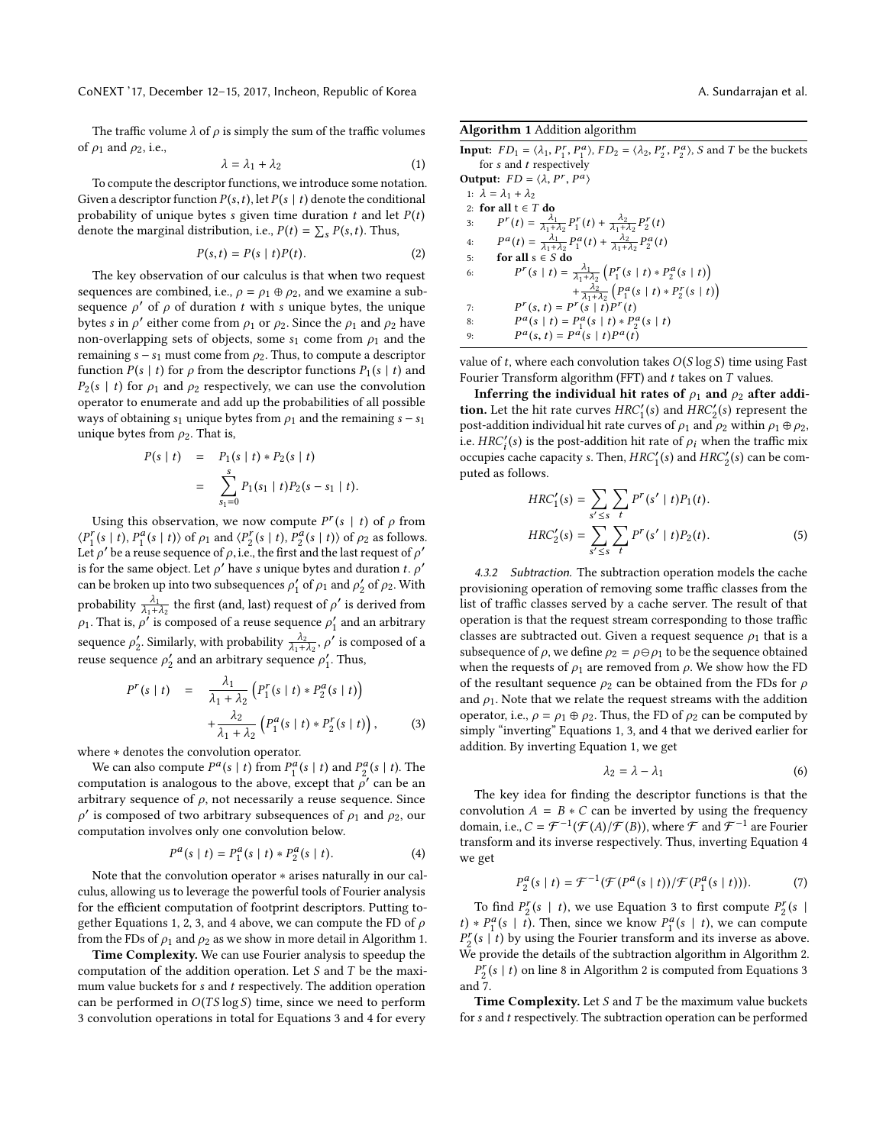The traffic volume  $\lambda$  of  $\rho$  is simply the sum of the traffic volumes of  $\rho_1$  and  $\rho_2$ , i.e.,

<span id="page-5-0"></span>
$$
\lambda = \lambda_1 + \lambda_2 \tag{1}
$$

To compute the descriptor functions, we introduce some notation. Given a descriptor function  $P(s, t)$ , let  $P(s | t)$  denote the conditional probability of unique bytes s given time duration  $t$  and let  $P(t)$ denote the marginal distribution, i.e.,  $P(t) = \sum_{s} P(s, t)$ . Thus,

<span id="page-5-1"></span>
$$
P(s,t) = P(s \mid t)P(t). \tag{2}
$$

The key observation of our calculus is that when two request sequences are combined, i.e.,  $\rho = \rho_1 \oplus \rho_2$ , and we examine a subsequence  $\rho'$  of  $\rho$  of duration t with s unique bytes, the unique bytes s in  $\rho'$  either come from  $\rho_1$  or  $\rho_2$ . Since the  $\rho_1$  and  $\rho_2$  have non-overlapping sets of objects, some  $s_1$  come from  $\rho_1$  and the remaining  $s - s_1$  must come from  $\rho_2$ . Thus, to compute a descriptor function  $P(s | t)$  for  $\rho$  from the descriptor functions  $P_1(s | t)$  and  $P_2(s \mid t)$  for  $\rho_1$  and  $\rho_2$  respectively, we can use the convolution operator to enumerate and add up the probabilities of all possible ways of obtaining  $s_1$  unique bytes from  $\rho_1$  and the remaining  $s - s_1$ unique bytes from  $\rho_2$ . That is,

<span id="page-5-2"></span>
$$
P(s | t) = P_1(s | t) * P_2(s | t)
$$
  
= 
$$
\sum_{s_1=0}^{s} P_1(s_1 | t) P_2(s - s_1 | t).
$$

Using this observation, we now compute  $P^r(s | t)$  of  $\rho$  from  $\langle P_1^r(s \mid t), P_1^a(s \mid t) \rangle$  of  $\rho_1$  and  $\langle P_2^r(s \mid t), P_2^a(s \mid t) \rangle$  of  $\rho_2$  as follows. Let  $\rho'$  be a reuse sequence of  $\rho$ , i.e., the first and the last request of  $\rho'$ <br>is for the same object. Let  $\rho'$  have sumique bytes and duration t.  $\rho'$ is for the same object. Let  $\rho'$  have s unique bytes and duration t.  $\rho'$ can be broken up into two subsequences  $\rho'_1$  of  $\rho_1$  and  $\rho'_2$  of  $\rho_2$ . With probability  $\frac{\lambda_1}{\lambda_1 + \lambda_2}$  the first (and, last) request of  $\rho'$  is derived from  $\rho_1$ . That is,  $\rho'$  is composed of a reuse sequence  $\rho'_1$  and an arbitrary  $\rho_1$ . sequence  $\rho_2'$ . Similarly, with probability  $\frac{\lambda_2}{\lambda_1 + \lambda_2}$ ,  $\rho'$  is composed of a between  $p_2$ . Summary, while probability  $\lambda_1 + \lambda_2$ ,  $p$  is such reuse sequence  $p_2'$  and an arbitrary sequence  $p_1'$ . Thus,

$$
P^{r}(s \mid t) = \frac{\lambda_{1}}{\lambda_{1} + \lambda_{2}} \left( P_{1}^{r}(s \mid t) * P_{2}^{a}(s \mid t) \right) + \frac{\lambda_{2}}{\lambda_{1} + \lambda_{2}} \left( P_{1}^{a}(s \mid t) * P_{2}^{r}(s \mid t) \right), \tag{3}
$$

where ∗ denotes the convolution operator.

We can also compute  $P^a(s \mid t)$  from  $P_1^a(s \mid t)$  and  $P_2^a(s \mid t)$ . The computation is analogous to the above, except that  $\rho'$  can be an arbitrary sequence of  $\rho$ , not necessarily a reuse sequence. Since  $\rho'$  is composed of two arbitrary subsequences of  $\rho_1$  and  $\rho_2$ , our computation involves only one convolution below.

<span id="page-5-3"></span>
$$
P^{a}(s \mid t) = P_{1}^{a}(s \mid t) * P_{2}^{a}(s \mid t).
$$
 (4)

Note that the convolution operator ∗ arises naturally in our calculus, allowing us to leverage the powerful tools of Fourier analysis for the efficient computation of footprint descriptors. Putting to-gether Equations [1,](#page-5-0) [2,](#page-5-1) [3,](#page-5-2) and [4](#page-5-3) above, we can compute the FD of  $\rho$ from the FDs of  $\rho_1$  and  $\rho_2$  as we show in more detail in Algorithm [1.](#page-5-4)

Time Complexity. We can use Fourier analysis to speedup the computation of the addition operation. Let  $S$  and  $T$  be the maximum value buckets for  $s$  and  $t$  respectively. The addition operation can be performed in  $O(TS \log S)$  time, since we need to perform 3 convolution operations in total for Equations [3](#page-5-2) and [4](#page-5-3) for every

#### <span id="page-5-4"></span>Algorithm 1 Addition algorithm

**Input:**  $FD_1 = \langle \lambda_1, P_1^r, P_1^a \rangle, FD_2 = \langle \lambda_2, P_2^r, P_2^a \rangle, S$  and T be the buckets for a and t respectively. for s and t respectively

**Output:**  $FD = \langle \lambda, P^r, P^a \rangle$ 1:  $\lambda = \lambda_1 + \lambda_2$ 2: for all  $t \in T$  do<br>3:  $P^{r}(t) = \frac{\lambda_1}{\lambda_1 + \lambda_2}$ 3:  $P^{r}(t) = \frac{\lambda_{1}}{\lambda_{1} + \lambda_{2}} P_{1}^{r}(t) + \frac{\lambda_{2}}{\lambda_{1} + \lambda_{2}} P_{2}^{r}(t)$ 4:  $P^a(t) = \frac{\lambda_1}{\lambda_1 + \lambda_2} P_1^a(t) + \frac{\lambda_2}{\lambda_1 + \lambda_2} P_2^a(t)$ <br>5. **for all**  $s \in S$ **do** 5: **for all**  $s \in S$  **do**<br>6:  $P^r(s \mid t) = -$ 6:  $P^r(s \mid t) = \frac{\lambda_1}{\lambda_1 + \lambda_2} \left( \frac{\lambda_1}{\lambda_2} \right)$  $P_1^r(s | t) * P_2^a(s | t)$  $+\frac{\lambda_2}{\lambda_1+\lambda_2}\left(P_1^a(s\mid t)*P_2^r(s\mid t)\right)$ 7:  $P^{r}(s, t) = P^{r}(s | t)P^{r}(t)$ <br>
P<sup>r</sup>(s, t) =  $P^{a}(s | t)P^{a}(t)$ <br>
P<sub>a</sub> 8:  $P^a(s | t) = P_1^a(s | t) * P_2^a(s | t)$ <br>
0.  $P^a(s | t) = P_a^a(s | t) P^a(t)$ 9:  $P$  $a(s, t) = P^a(s | t)P^a(t)$ 

value of t, where each convolution takes  $O(S \log S)$  time using Fast Fourier Transform algorithm (FFT) and t takes on T values.

Inferring the individual hit rates of  $\rho_1$  and  $\rho_2$  after addi**tion.** Let the hit rate curves  $HRC'_1(s)$  and  $HRC'_2(s)$  represent the post-addition individual hit rate curves of  $\rho_1$  and  $\rho_2$  within  $\rho_1 \oplus \rho_2$ , i.e.  $HRC'_i(s)$  is the post-addition hit rate of  $\rho_i$  when the traffic mix occupies cache capacity s. Then,  $HRC'_1(s)$  and  $HRC'_2(s)$  can be computed as follows.

<span id="page-5-6"></span>
$$
HRC'_{1}(s) = \sum_{s' \leq s} \sum_{t} P^{r}(s' \mid t)P_{1}(t).
$$

$$
HRC'_{2}(s) = \sum_{s' \leq s} \sum_{t} P^{r}(s' \mid t)P_{2}(t).
$$
 (5)

<span id="page-5-7"></span>4.3.2 Subtraction. The subtraction operation models the cache provisioning operation of removing some traffic classes from the list of traffic classes served by a cache server. The result of that operation is that the request stream corresponding to those traffic classes are subtracted out. Given a request sequence  $\rho_1$  that is a subsequence of  $\rho$ , we define  $\rho_2 = \rho \ominus \rho_1$  to be the sequence obtained when the requests of  $\rho_1$  are removed from  $\rho$ . We show how the FD of the resultant sequence  $\rho_2$  can be obtained from the FDs for  $\rho$ and  $\rho_1$ . Note that we relate the request streams with the addition operator, i.e.,  $\rho = \rho_1 \oplus \rho_2$ . Thus, the FD of  $\rho_2$  can be computed by simply "inverting" Equations [1,](#page-5-0) [3,](#page-5-2) and [4](#page-5-3) that we derived earlier for addition. By inverting Equation [1,](#page-5-0) we get

$$
\lambda_2 = \lambda - \lambda_1 \tag{6}
$$

The key idea for finding the descriptor functions is that the convolution  $A = B * C$  can be inverted by using the frequency domain, i.e.,  $C = \mathcal{F}^{-1}(\mathcal{F}(A)/\mathcal{F}(B))$ , where  $\mathcal{F}$  and  $\mathcal{F}^{-1}$  are Fourier<br>transform and its inverse respectively. Thus, inverting Equation 4 transform and its inverse respectively. Thus, inverting Equation [4](#page-5-3) we get

<span id="page-5-5"></span>
$$
P_2^a(s \mid t) = \mathcal{F}^{-1}(\mathcal{F}(P^a(s \mid t))/\mathcal{F}(P_1^a(s \mid t))). \tag{7}
$$

To find  $P_2^r(s \mid t)$ , we use Equation [3](#page-5-2) to first compute  $P_2^r(s \mid t)$ t) \*  $P_1^a(s \mid t)$ . Then, since we know  $P_1^a(s \mid t)$ , we can compute  $P_2^r(s \mid t)$  by using the Fourier transform and its inverse as above. We provide the details of the subtraction algorithm in Algorithm [2.](#page-6-1)

 $P_2^r(s \mid t)$  on line 8 in Algorithm [2](#page-6-1) is computed from Equations [3](#page-5-2) and [7.](#page-5-5)

Time Complexity. Let  $S$  and  $T$  be the maximum value buckets for  $s$  and  $t$  respectively. The subtraction operation can be performed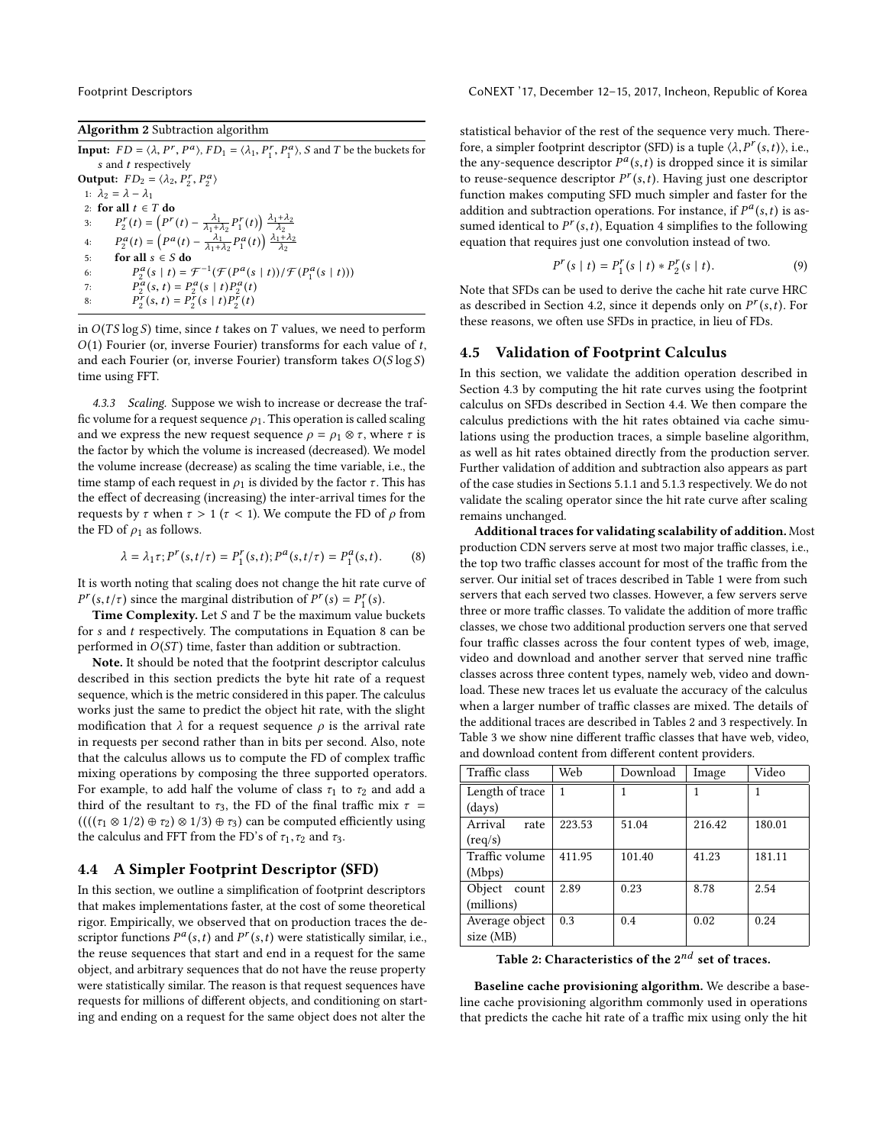## <span id="page-6-1"></span>Algorithm 2 Subtraction algorithm

**Input:**  $FD = \langle \lambda, P^r, P^a \rangle, FD_1 = \langle \lambda_1, P_1^r, P_1^a \rangle, S$  and T be the buckets for s and t respectively Output:  $FD_2 = \langle \lambda_2, P_2^r, P_2^a \rangle$ 1:  $\lambda_2 = \lambda - \lambda_1$ 2: for all  $t \in T$  do<br>3:  $P_a^r(t) = (P^r)$ 3:  $P_2^r(t) = ($ 3:  $P_2^r(t) = (P^r(t) - \frac{\lambda_1}{\lambda_1 + \lambda_2} P_1^r(t)) \frac{\lambda_1 + \lambda_2}{\lambda_2}$ <br>
4:  $P_2^a(t) = (P^a(t) - \frac{\lambda_1}{\lambda_1 + \lambda_2} P_1^a(t)) \frac{\lambda_1 + \lambda_2}{\lambda_2}$  $P^{a}(t) - \frac{\lambda_{1}}{\lambda_{1} + \lambda_{2}} P^{a}_{1}(t) \frac{\lambda_{1} + \lambda_{2}}{\lambda_{2}}$ 5: for all  $s \in S$  do<br>6:  $P_a^a(s \mid t) = 9$ 6:  $P$ <br>7.  $P$  $\mathcal{F}_2^a(s \mid t) = \mathcal{F}^{-1}(\mathcal{F}(P^a(s \mid t))/\mathcal{F}(P_1^a(s \mid t)))$ 7:  $P$ <br>9.  $P$  $P_2^a(s, t) = P_2^a(s | t)P_2^a(t)$ 8:  $P_2^r(s, t) = P_2^r(s | t) P_2^r(t)$ 

in  $O(TS \log S)$  time, since t takes on T values, we need to perform  $O(1)$  Fourier (or, inverse Fourier) transforms for each value of t, and each Fourier (or, inverse Fourier) transform takes O(S log S) time using FFT.

<span id="page-6-5"></span>4.3.3 Scaling. Suppose we wish to increase or decrease the traf fic volume for a request sequence  $\rho_1$ . This operation is called scaling and we express the new request sequence  $\rho = \rho_1 \otimes \tau$ , where  $\tau$  is the factor by which the volume is increased (decreased). We model the volume increase (decrease) as scaling the time variable, i.e., the time stamp of each request in  $\rho_1$  is divided by the factor  $\tau$ . This has the effect of decreasing (increasing) the inter-arrival times for the requests by  $\tau$  when  $\tau > 1$  ( $\tau < 1$ ). We compute the FD of  $\rho$  from the FD of  $\rho_1$  as follows.

<span id="page-6-2"></span>
$$
\lambda = \lambda_1 \tau; P^r(s, t/\tau) = P_1^r(s, t); P^a(s, t/\tau) = P_1^a(s, t).
$$
 (8)

It is worth noting that scaling does not change the hit rate curve of  $P^{r}(s, t/\tau)$  since the marginal distribution of  $P^{r}(s) = P_{I}^{r}(s)$ .<br>Time Complexity Let S and T be the maximum value

Time Complexity. Let  $S$  and  $T$  be the maximum value buckets for  $s$  and  $t$  respectively. The computations in Equation [8](#page-6-2) can be performed in  $O(ST)$  time, faster than addition or subtraction.

Note. It should be noted that the footprint descriptor calculus described in this section predicts the byte hit rate of a request sequence, which is the metric considered in this paper. The calculus works just the same to predict the object hit rate, with the slight modification that  $\lambda$  for a request sequence  $\rho$  is the arrival rate in requests per second rather than in bits per second. Also, note that the calculus allows us to compute the FD of complex traffic mixing operations by composing the three supported operators. For example, to add half the volume of class  $\tau_1$  to  $\tau_2$  and add a third of the resultant to  $\tau_3$ , the FD of the final traffic mix  $\tau =$  $((((\tau_1 \otimes 1/2) \oplus \tau_2) \otimes 1/3) \oplus \tau_3)$  can be computed efficiently using the calculus and FFT from the FD's of  $\tau_1$ ,  $\tau_2$  and  $\tau_3$ .

## <span id="page-6-3"></span>4.4 A Simpler Footprint Descriptor (SFD)

In this section, we outline a simplication of footprint descriptors that makes implementations faster, at the cost of some theoretical rigor. Empirically, we observed that on production traces the descriptor functions  $P^a(s,t)$  and  $P^r(s,t)$  were statistically similar, i.e., the reuse sequences that start and end in a request for the same object, and arbitrary sequences that do not have the reuse property were statistically similar. The reason is that request sequences have requests for millions of different objects, and conditioning on starting and ending on a request for the same object does not alter the

Footprint Descriptors CoNEXT '17, December 12–15, 2017, Incheon, Republic of Korea

statistical behavior of the rest of the sequence very much. Therefore, a simpler footprint descriptor (SFD) is a tuple  $(\lambda, P^r(s, t))$ , i.e., the any-sequence descriptor  $P^a(s, t)$  is dropped since it is similar. the any-sequence descriptor  $P^a(s,t)$  is dropped since it is similar<br>to reuse-sequence descriptor  $P^r(s,t)$ . Having just one descriptor to reuse-sequence descriptor  $P^r(s,t)$ . Having just one descriptor<br>function makes computing SED much simpler and faster for the function makes computing SFD much simpler and faster for the addition and subtraction operations. For instance, if  $P^a(s,t)$  is as-<br>sumed identical to  $P^r(s,t)$ . Fourtion 4 simplifies to the following sumed identical to  $P^r(s,t)$ , Equation [4](#page-5-3) simplifies to the following<br>equation that requires just one convolution instead of two equation that requires just one convolution instead of two.

$$
P^{r}(s \mid t) = P_{1}^{r}(s \mid t) * P_{2}^{r}(s \mid t).
$$
 (9)

Note that SFDs can be used to derive the cache hit rate curve HRC as described in Section [4.2,](#page-4-3) since it depends only on  $P^r(s,t)$ . For these reasons, we often use SFDs in practice in lieu of FDs. these reasons, we often use SFDs in practice, in lieu of FDs.

#### <span id="page-6-0"></span>4.5 Validation of Footprint Calculus

In this section, we validate the addition operation described in Section [4.3](#page-4-1) by computing the hit rate curves using the footprint calculus on SFDs described in Section [4.4.](#page-6-3) We then compare the calculus predictions with the hit rates obtained via cache simulations using the production traces, a simple baseline algorithm, as well as hit rates obtained directly from the production server. Further validation of addition and subtraction also appears as part of the case studies in Sections [5.1.1](#page-8-1) and [5.1.3](#page-9-0) respectively. We do not validate the scaling operator since the hit rate curve after scaling remains unchanged.

Additional traces for validating scalability of addition. Most production CDN servers serve at most two major traffic classes, i.e., the top two traffic classes account for most of the traffic from the server. Our initial set of traces described in Table [1](#page-3-0) were from such servers that each served two classes. However, a few servers serve three or more traffic classes. To validate the addition of more traffic classes, we chose two additional production servers one that served four traffic classes across the four content types of web, image, video and download and another server that served nine traffic classes across three content types, namely web, video and download. These new traces let us evaluate the accuracy of the calculus when a larger number of traffic classes are mixed. The details of the additional traces are described in Tables [2](#page-6-4) and [3](#page-7-0) respectively. In Table [3](#page-7-0) we show nine different traffic classes that have web, video, and download content from different content providers.

<span id="page-6-4"></span>

| Traffic class    | Web    | Download | Image  | Video  |
|------------------|--------|----------|--------|--------|
| Length of trace  | 1      |          |        |        |
| (days)           |        |          |        |        |
| Arrival<br>rate  | 223.53 | 51.04    | 216.42 | 180.01 |
| $(\text{req/s})$ |        |          |        |        |
| Traffic volume   | 411.95 | 101.40   | 41.23  | 181.11 |
| (Mbps)           |        |          |        |        |
| Object<br>count  | 2.89   | 0.23     | 8.78   | 2.54   |
| (millions)       |        |          |        |        |
| Average object   | 0.3    | 0.4      | 0.02   | 0.24   |
| size (MB)        |        |          |        |        |

Table 2: Characteristics of the  $2^{nd}$  set of traces.

Baseline cache provisioning algorithm. We describe a baseline cache provisioning algorithm commonly used in operations that predicts the cache hit rate of a traffic mix using only the hit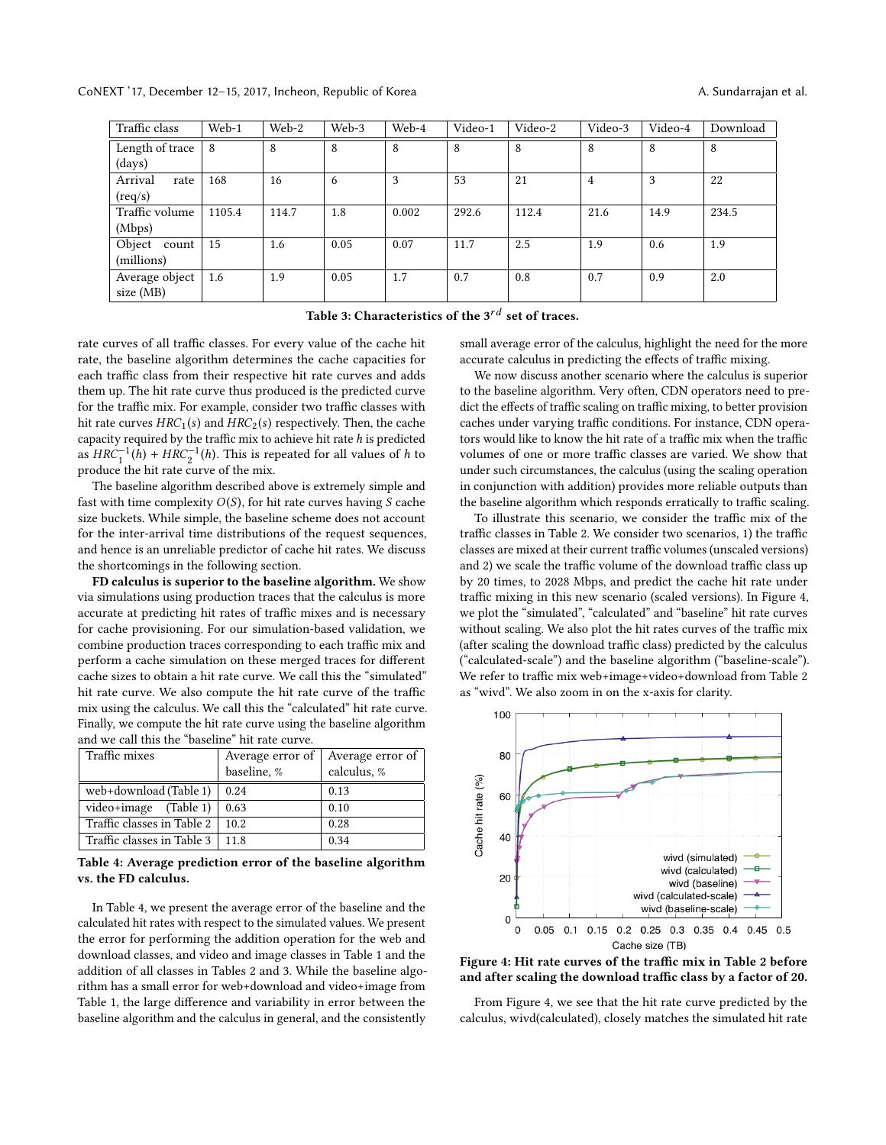<span id="page-7-0"></span>

| Traffic class    | Web-1  | Web-2 | Web-3 | Web-4 | Video-1 | Video-2 | Video-3 | Video-4 | Download |
|------------------|--------|-------|-------|-------|---------|---------|---------|---------|----------|
| Length of trace  | -8     | 8     | 8     | 8     | 8       | 8       | 8       | 8       | 8        |
| (days)           |        |       |       |       |         |         |         |         |          |
| Arrival<br>rate  | 168    | 16    | 6     | 3     | 53      | 21      | 4       | 3       | 22       |
| $(\text{req/s})$ |        |       |       |       |         |         |         |         |          |
| Traffic volume   | 1105.4 | 114.7 | 1.8   | 0.002 | 292.6   | 112.4   | 21.6    | 14.9    | 234.5    |
| (Mbps)           |        |       |       |       |         |         |         |         |          |
| Object<br>count  | 15     | 1.6   | 0.05  | 0.07  | 11.7    | 2.5     | 1.9     | 0.6     | 1.9      |
| (millions)       |        |       |       |       |         |         |         |         |          |
| Average object   | 1.6    | 1.9   | 0.05  | 1.7   | 0.7     | 0.8     | 0.7     | 0.9     | 2.0      |
| size (MB)        |        |       |       |       |         |         |         |         |          |

Table 3: Characteristics of the  $3^{rd}$  set of traces.

rate curves of all traffic classes. For every value of the cache hit rate, the baseline algorithm determines the cache capacities for each traffic class from their respective hit rate curves and adds them up. The hit rate curve thus produced is the predicted curve for the traffic mix. For example, consider two traffic classes with hit rate curves  $HRC<sub>1</sub>(s)$  and  $HRC<sub>2</sub>(s)$  respectively. Then, the cache capacity required by the traffic mix to achieve hit rate  $h$  is predicted as  $HRC_1^{-1}(h) + HRC_2^{-1}(h)$ . This is repeated for all values of h to produce the hit rate curve of the mix.

The baseline algorithm described above is extremely simple and fast with time complexity  $O(S)$ , for hit rate curves having S cache size buckets. While simple, the baseline scheme does not account for the inter-arrival time distributions of the request sequences, and hence is an unreliable predictor of cache hit rates. We discuss the shortcomings in the following section.

FD calculus is superior to the baseline algorithm. We show via simulations using production traces that the calculus is more accurate at predicting hit rates of traffic mixes and is necessary for cache provisioning. For our simulation-based validation, we combine production traces corresponding to each traffic mix and perform a cache simulation on these merged traces for different cache sizes to obtain a hit rate curve. We call this the "simulated" hit rate curve. We also compute the hit rate curve of the traffic mix using the calculus. We call this the "calculated" hit rate curve. Finally, we compute the hit rate curve using the baseline algorithm and we call this the "baseline" hit rate curve.

<span id="page-7-1"></span>

| Traffic mixes                     | Average error of   Average error of |             |  |
|-----------------------------------|-------------------------------------|-------------|--|
|                                   | baseline, %                         | calculus, % |  |
| web+download (Table 1)            | 0.24                                | 0.13        |  |
| video+image $(Table 1)$           | 0.63                                | 0.10        |  |
| Traffic classes in Table 2        | 10.2                                | 0.28        |  |
| Traffic classes in Table 3   11.8 |                                     | 0.34        |  |

Table 4: Average prediction error of the baseline algorithm vs. the FD calculus.

In Table [4,](#page-7-1) we present the average error of the baseline and the calculated hit rates with respect to the simulated values. We present the error for performing the addition operation for the web and download classes, and video and image classes in Table [1](#page-3-0) and the addition of all classes in Tables [2](#page-6-4) and [3.](#page-7-0) While the baseline algorithm has a small error for web+download and video+image from Table [1,](#page-3-0) the large difference and variability in error between the baseline algorithm and the calculus in general, and the consistently

small average error of the calculus, highlight the need for the more accurate calculus in predicting the effects of traffic mixing.

We now discuss another scenario where the calculus is superior to the baseline algorithm. Very often, CDN operators need to predict the effects of traffic scaling on traffic mixing, to better provision caches under varying traffic conditions. For instance, CDN operators would like to know the hit rate of a traffic mix when the traffic volumes of one or more traffic classes are varied. We show that under such circumstances, the calculus (using the scaling operation in conjunction with addition) provides more reliable outputs than the baseline algorithm which responds erratically to traffic scaling.

To illustrate this scenario, we consider the traffic mix of the traffic classes in Table [2.](#page-6-4) We consider two scenarios, 1) the traffic classes are mixed at their current traffic volumes (unscaled versions) and 2) we scale the traffic volume of the download traffic class up by 20 times, to 2028 Mbps, and predict the cache hit rate under traffic mixing in this new scenario (scaled versions). In Figure [4,](#page-7-2) we plot the "simulated", "calculated" and "baseline" hit rate curves without scaling. We also plot the hit rates curves of the traffic mix (after scaling the download traffic class) predicted by the calculus ("calculated-scale") and the baseline algorithm ("baseline-scale"). We refer to traffic mix web+image+video+download from Table [2](#page-6-4) as "wivd". We also zoom in on the x-axis for clarity.

<span id="page-7-2"></span>

Figure 4: Hit rate curves of the traffic mix in Table [2](#page-6-4) before and after scaling the download traffic class by a factor of 20.

From Figure [4,](#page-7-2) we see that the hit rate curve predicted by the calculus, wivd(calculated), closely matches the simulated hit rate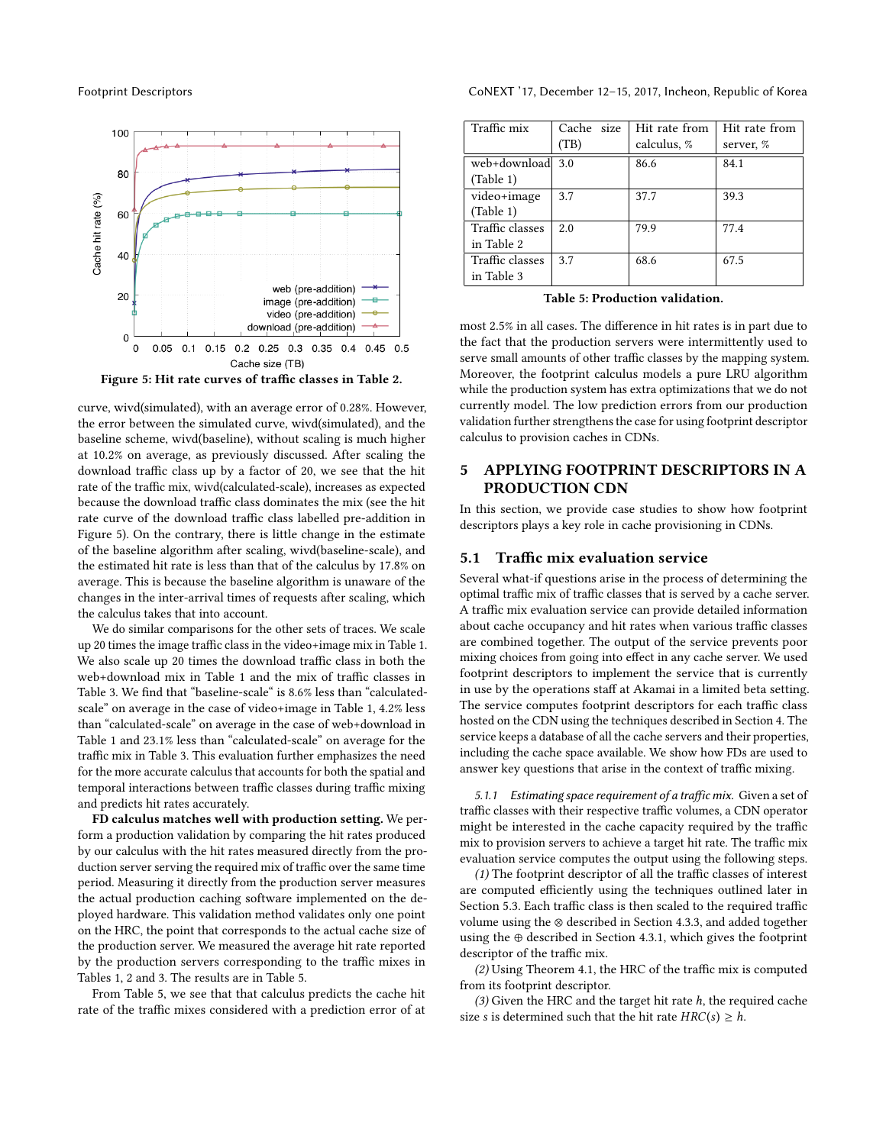<span id="page-8-2"></span>

Figure 5: Hit rate curves of traffic classes in Table [2.](#page-6-4)

curve, wivd(simulated), with an average error of 0.28%. However, the error between the simulated curve, wivd(simulated), and the baseline scheme, wivd(baseline), without scaling is much higher at 10.2% on average, as previously discussed. After scaling the download traffic class up by a factor of 20, we see that the hit rate of the traffic mix, wivd(calculated-scale), increases as expected because the download traffic class dominates the mix (see the hit rate curve of the download traffic class labelled pre-addition in Figure [5\)](#page-8-2). On the contrary, there is little change in the estimate of the baseline algorithm after scaling, wivd(baseline-scale), and the estimated hit rate is less than that of the calculus by 17.8% on average. This is because the baseline algorithm is unaware of the changes in the inter-arrival times of requests after scaling, which the calculus takes that into account.

We do similar comparisons for the other sets of traces. We scale up 20 times the image traffic class in the video+image mix in Table [1.](#page-3-0) We also scale up 20 times the download traffic class in both the web+download mix in Table [1](#page-3-0) and the mix of traffic classes in Table [3.](#page-7-0) We find that "baseline-scale" is 8.6% less than "calculatedscale" on average in the case of video+image in Table [1,](#page-3-0) 4.2% less than "calculated-scale" on average in the case of web+download in Table [1](#page-3-0) and 23.1% less than "calculated-scale" on average for the traffic mix in Table [3.](#page-7-0) This evaluation further emphasizes the need for the more accurate calculus that accounts for both the spatial and temporal interactions between traffic classes during traffic mixing and predicts hit rates accurately.

FD calculus matches well with production setting. We perform a production validation by comparing the hit rates produced by our calculus with the hit rates measured directly from the production server serving the required mix of traffic over the same time period. Measuring it directly from the production server measures the actual production caching software implemented on the deployed hardware. This validation method validates only one point on the HRC, the point that corresponds to the actual cache size of the production server. We measured the average hit rate reported by the production servers corresponding to the traffic mixes in Tables [1,](#page-3-0) [2](#page-6-4) and [3.](#page-7-0) The results are in Table [5.](#page-8-3)

From Table [5,](#page-8-3) we see that that calculus predicts the cache hit rate of the traffic mixes considered with a prediction error of at

Footprint Descriptors CoNEXT '17, December 12–15, 2017, Incheon, Republic of Korea

<span id="page-8-3"></span>

| Traffic mix      | Cache size | Hit rate from | Hit rate from |
|------------------|------------|---------------|---------------|
|                  | (TB)       | calculus, %   | server, %     |
| web+download 3.0 |            | 86.6          | 84.1          |
| (Table 1)        |            |               |               |
| video+image      | 3.7        | 37.7          | 39.3          |
| (Table 1)        |            |               |               |
| Traffic classes  | 2.0        | 79.9          | 77.4          |
| in Table 2       |            |               |               |
| Traffic classes  | 3.7        | 68.6          | 67.5          |
| in Table 3       |            |               |               |

Table 5: Production validation.

most 2.5% in all cases. The difference in hit rates is in part due to the fact that the production servers were intermittently used to serve small amounts of other traffic classes by the mapping system. Moreover, the footprint calculus models a pure LRU algorithm while the production system has extra optimizations that we do not currently model. The low prediction errors from our production validation further strengthens the case for using footprint descriptor calculus to provision caches in CDNs.

# <span id="page-8-0"></span>5 APPLYING FOOTPRINT DESCRIPTORS IN A PRODUCTION CDN

In this section, we provide case studies to show how footprint descriptors plays a key role in cache provisioning in CDNs.

## 5.1 Traffic mix evaluation service

Several what-if questions arise in the process of determining the optimal traffic mix of traffic classes that is served by a cache server. A traffic mix evaluation service can provide detailed information about cache occupancy and hit rates when various traffic classes are combined together. The output of the service prevents poor mixing choices from going into effect in any cache server. We used footprint descriptors to implement the service that is currently in use by the operations staff at Akamai in a limited beta setting. The service computes footprint descriptors for each traffic class hosted on the CDN using the techniques described in Section [4.](#page-4-2) The service keeps a database of all the cache servers and their properties, including the cache space available. We show how FDs are used to answer key questions that arise in the context of traffic mixing.

<span id="page-8-1"></span>5.1.1 Estimating space requirement of a traffic mix. Given a set of traffic classes with their respective traffic volumes, a CDN operator might be interested in the cache capacity required by the traffic mix to provision servers to achieve a target hit rate. The traffic mix evaluation service computes the output using the following steps.

 $(1)$  The footprint descriptor of all the traffic classes of interest are computed efficiently using the techniques outlined later in Section [5.3.](#page-10-0) Each traffic class is then scaled to the required traffic volume using the ⊗ described in Section [4.3.3,](#page-6-5) and added together using the ⊕ described in Section [4.3.1,](#page-4-5) which gives the footprint descriptor of the traffic mix.

 $(2)$  Using Theorem [4.1,](#page-4-6) the HRC of the traffic mix is computed from its footprint descriptor.

(3) Given the HRC and the target hit rate  $h$ , the required cache size *s* is determined such that the hit rate  $HRC(s) \geq h$ .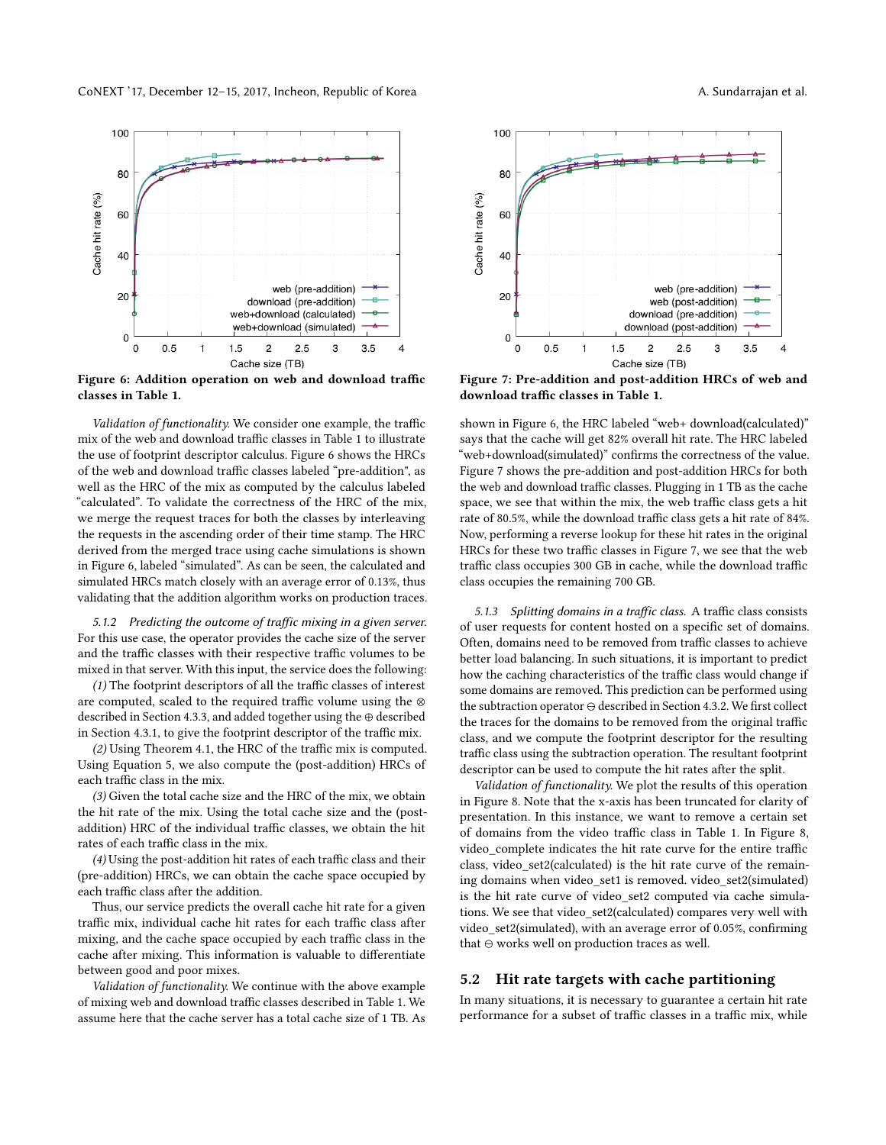Figure 6: Addition operation on web and download traffic classes in Table [1.](#page-3-0)

 $\mathcal{P}$ 

Cache size (TB)

 $1.5$ 

web (pre-addition)

 $3.5$ 

3

download (pre-addition)

 $2.5$ 

web+download (calculated)

web+download (simulated)

Validation of functionality. We consider one example, the traffic mix of the web and download traffic classes in Table [1](#page-3-0) to illustrate the use of footprint descriptor calculus. Figure [6](#page-9-1) shows the HRCs of the web and download traffic classes labeled "pre-addition", as well as the HRC of the mix as computed by the calculus labeled "calculated". To validate the correctness of the HRC of the mix, we merge the request traces for both the classes by interleaving the requests in the ascending order of their time stamp. The HRC derived from the merged trace using cache simulations is shown in Figure [6,](#page-9-1) labeled "simulated". As can be seen, the calculated and simulated HRCs match closely with an average error of 0.13%, thus validating that the addition algorithm works on production traces.

5.1.2 Predicting the outcome of traffic mixing in a given server. For this use case, the operator provides the cache size of the server and the traffic classes with their respective traffic volumes to be mixed in that server. With this input, the service does the following:

 $(1)$  The footprint descriptors of all the traffic classes of interest are computed, scaled to the required traffic volume using the  $\otimes$ described in Section [4.3.3,](#page-6-5) and added together using the ⊕ described in Section [4.3.1,](#page-4-5) to give the footprint descriptor of the traffic mix.

 $(2)$  Using Theorem [4.1,](#page-4-6) the HRC of the traffic mix is computed. Using Equation [5,](#page-5-6) we also compute the (post-addition) HRCs of each traffic class in the mix.

(3) Given the total cache size and the HRC of the mix, we obtain the hit rate of the mix. Using the total cache size and the (postaddition) HRC of the individual traffic classes, we obtain the hit rates of each traffic class in the mix.

 $(4)$  Using the post-addition hit rates of each traffic class and their (pre-addition) HRCs, we can obtain the cache space occupied by each traffic class after the addition.

Thus, our service predicts the overall cache hit rate for a given traffic mix, individual cache hit rates for each traffic class after mixing, and the cache space occupied by each traffic class in the cache after mixing. This information is valuable to differentiate between good and poor mixes.

Validation of functionality. We continue with the above example of mixing web and download traffic classes described in Table [1.](#page-3-0) We assume here that the cache server has a total cache size of 1 TB. As

shown in Figure [6,](#page-9-1) the HRC labeled "web+ download(calculated)" Figure [7](#page-9-2) shows the pre-addition and post-addition HRCs for both the web and download traffic classes. Plugging in 1 TB as the cache space, we see that within the mix, the web traffic class gets a hit rate of 80.5%, while the download traffic class gets a hit rate of 84%. Now, performing a reverse lookup for these hit rates in the original HRCs for these two traffic classes in Figure [7,](#page-9-2) we see that the web

traffic class occupies 300 GB in cache, while the download traffic

says that the cache will get 82% overall hit rate. The HRC labeled "web+download(simulated)" confirms the correctness of the value.

download traffic classes in Table [1.](#page-3-0)

class occupies the remaining 700 GB.

<span id="page-9-0"></span>5.1.3 Splitting domains in a traffic class. A traffic class consists of user requests for content hosted on a specific set of domains. Often, domains need to be removed from traffic classes to achieve better load balancing. In such situations, it is important to predict how the caching characteristics of the traffic class would change if some domains are removed. This prediction can be performed using the subtraction operator  $\ominus$  described in Section [4.3.2.](#page-5-7) We first collect the traces for the domains to be removed from the original traffic class, and we compute the footprint descriptor for the resulting traffic class using the subtraction operation. The resultant footprint descriptor can be used to compute the hit rates after the split.

Validation of functionality. We plot the results of this operation in Figure [8.](#page-10-1) Note that the x-axis has been truncated for clarity of presentation. In this instance, we want to remove a certain set of domains from the video traffic class in Table [1.](#page-3-0) In Figure [8,](#page-10-1) video\_complete indicates the hit rate curve for the entire traffic class, video\_set2(calculated) is the hit rate curve of the remaining domains when video\_set1 is removed. video\_set2(simulated) is the hit rate curve of video\_set2 computed via cache simulations. We see that video\_set2(calculated) compares very well with video\_set2(simulated), with an average error of 0.05%, confirming that  $\ominus$  works well on production traces as well.

#### 5.2 Hit rate targets with cache partitioning

In many situations, it is necessary to guarantee a certain hit rate performance for a subset of traffic classes in a traffic mix, while

<span id="page-9-1"></span>80

60

40

20

 $\mathbf 0$ 

 $\Omega$ 

 $0.5$ 

 $\overline{1}$ 

Cache hit rate (%)

<span id="page-9-2"></span>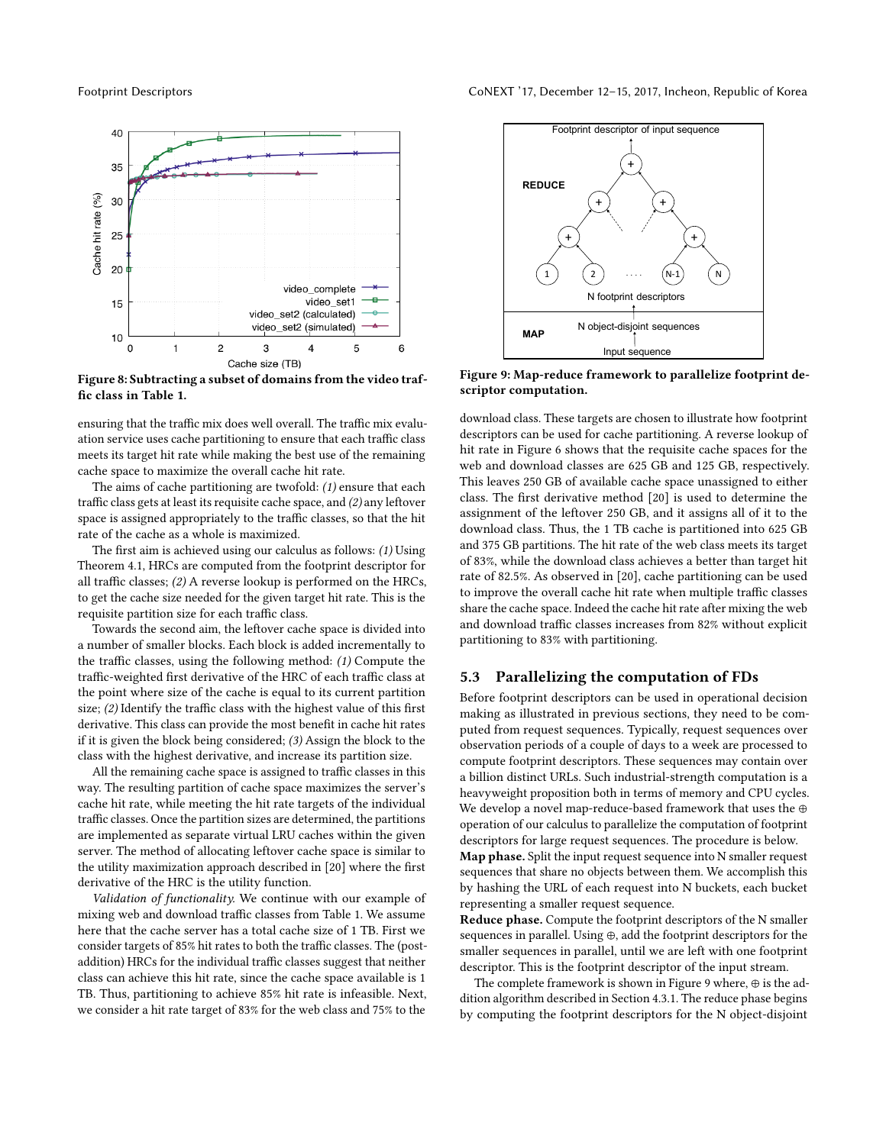<span id="page-10-1"></span>

Figure 8: Subtracting a subset of domains from the video traf- fic class in Table [1.](#page-3-0)

ensuring that the traffic mix does well overall. The traffic mix evaluation service uses cache partitioning to ensure that each traffic class meets its target hit rate while making the best use of the remaining cache space to maximize the overall cache hit rate.

The aims of cache partitioning are twofold: (1) ensure that each traffic class gets at least its requisite cache space, and  $(2)$  any leftover space is assigned appropriately to the traffic classes, so that the hit rate of the cache as a whole is maximized.

The first aim is achieved using our calculus as follows:  $(1)$  Using Theorem [4.1,](#page-4-6) HRCs are computed from the footprint descriptor for all traffic classes;  $(2)$  A reverse lookup is performed on the HRCs, to get the cache size needed for the given target hit rate. This is the requisite partition size for each traffic class.

Towards the second aim, the leftover cache space is divided into a number of smaller blocks. Each block is added incrementally to the traffic classes, using the following method:  $(1)$  Compute the traffic-weighted first derivative of the HRC of each traffic class at the point where size of the cache is equal to its current partition size;  $(2)$  Identify the traffic class with the highest value of this first derivative. This class can provide the most benefit in cache hit rates if it is given the block being considered; (3) Assign the block to the class with the highest derivative, and increase its partition size.

All the remaining cache space is assigned to traffic classes in this way. The resulting partition of cache space maximizes the server's cache hit rate, while meeting the hit rate targets of the individual traffic classes. Once the partition sizes are determined, the partitions are implemented as separate virtual LRU caches within the given server. The method of allocating leftover cache space is similar to the utility maximization approach described in  $[20]$  where the first derivative of the HRC is the utility function.

Validation of functionality. We continue with our example of mixing web and download traffic classes from Table [1.](#page-3-0) We assume here that the cache server has a total cache size of 1 TB. First we consider targets of 85% hit rates to both the traffic classes. The (postaddition) HRCs for the individual traffic classes suggest that neither class can achieve this hit rate, since the cache space available is 1 TB. Thus, partitioning to achieve 85% hit rate is infeasible. Next, we consider a hit rate target of 83% for the web class and 75% to the

Footprint Descriptors CoNEXT '17, December 12–15, 2017, Incheon, Republic of Korea

<span id="page-10-2"></span>

Figure 9: Map-reduce framework to parallelize footprint descriptor computation.

download class. These targets are chosen to illustrate how footprint descriptors can be used for cache partitioning. A reverse lookup of hit rate in Figure [6](#page-9-1) shows that the requisite cache spaces for the web and download classes are 625 GB and 125 GB, respectively. This leaves 250 GB of available cache space unassigned to either class. The first derivative method [\[20\]](#page-12-8) is used to determine the assignment of the leftover 250 GB, and it assigns all of it to the download class. Thus, the 1 TB cache is partitioned into 625 GB and 375 GB partitions. The hit rate of the web class meets its target of 83%, while the download class achieves a better than target hit rate of 82.5%. As observed in [\[20\]](#page-12-8), cache partitioning can be used to improve the overall cache hit rate when multiple traffic classes share the cache space. Indeed the cache hit rate after mixing the web and download traffic classes increases from 82% without explicit partitioning to 83% with partitioning.

## <span id="page-10-0"></span>5.3 Parallelizing the computation of FDs

Before footprint descriptors can be used in operational decision making as illustrated in previous sections, they need to be computed from request sequences. Typically, request sequences over observation periods of a couple of days to a week are processed to compute footprint descriptors. These sequences may contain over a billion distinct URLs. Such industrial-strength computation is a heavyweight proposition both in terms of memory and CPU cycles. We develop a novel map-reduce-based framework that uses the ⊕ operation of our calculus to parallelize the computation of footprint descriptors for large request sequences. The procedure is below.

Map phase. Split the input request sequence into N smaller request sequences that share no objects between them. We accomplish this by hashing the URL of each request into N buckets, each bucket representing a smaller request sequence.

Reduce phase. Compute the footprint descriptors of the N smaller sequences in parallel. Using  $oplus$ , add the footprint descriptors for the smaller sequences in parallel, until we are left with one footprint descriptor. This is the footprint descriptor of the input stream.

The complete framework is shown in Figure [9](#page-10-2) where,  $\oplus$  is the addition algorithm described in Section [4.3.1.](#page-4-5) The reduce phase begins by computing the footprint descriptors for the N object-disjoint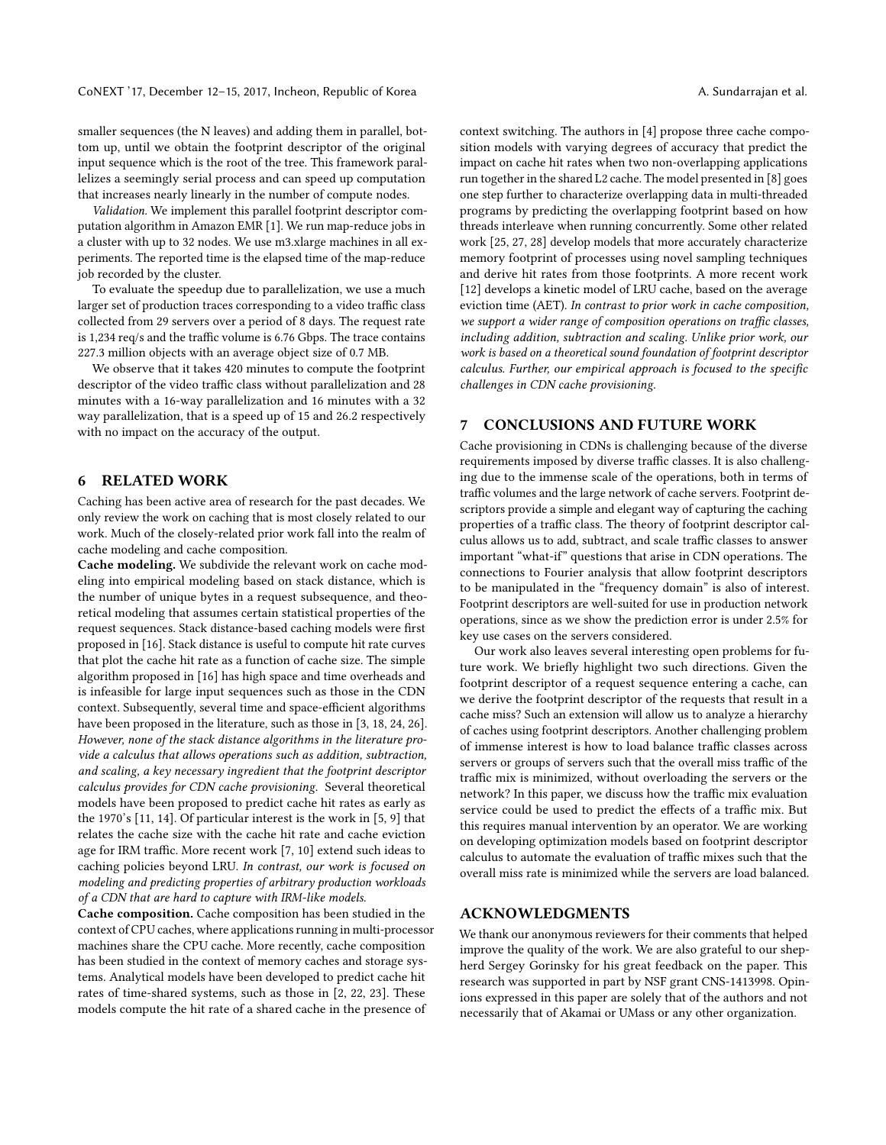smaller sequences (the N leaves) and adding them in parallel, bottom up, until we obtain the footprint descriptor of the original input sequence which is the root of the tree. This framework parallelizes a seemingly serial process and can speed up computation that increases nearly linearly in the number of compute nodes.

Validation. We implement this parallel footprint descriptor computation algorithm in Amazon EMR [\[1\]](#page-12-9). We run map-reduce jobs in a cluster with up to 32 nodes. We use m3.xlarge machines in all experiments. The reported time is the elapsed time of the map-reduce job recorded by the cluster.

To evaluate the speedup due to parallelization, we use a much larger set of production traces corresponding to a video traffic class collected from 29 servers over a period of 8 days. The request rate is 1,234 req/s and the traffic volume is 6.76 Gbps. The trace contains 227.3 million objects with an average object size of 0.7 MB.

We observe that it takes 420 minutes to compute the footprint descriptor of the video traffic class without parallelization and 28 minutes with a 16-way parallelization and 16 minutes with a 32 way parallelization, that is a speed up of 15 and 26.2 respectively with no impact on the accuracy of the output.

#### <span id="page-11-0"></span>6 RELATED WORK

Caching has been active area of research for the past decades. We only review the work on caching that is most closely related to our work. Much of the closely-related prior work fall into the realm of cache modeling and cache composition.

Cache modeling. We subdivide the relevant work on cache modeling into empirical modeling based on stack distance, which is the number of unique bytes in a request subsequence, and theoretical modeling that assumes certain statistical properties of the request sequences. Stack distance-based caching models were first proposed in [\[16\]](#page-12-6). Stack distance is useful to compute hit rate curves that plot the cache hit rate as a function of cache size. The simple algorithm proposed in [\[16\]](#page-12-6) has high space and time overheads and is infeasible for large input sequences such as those in the CDN context. Subsequently, several time and space-efficient algorithms have been proposed in the literature, such as those in [\[3,](#page-12-10) [18,](#page-12-11) [24,](#page-12-12) [26\]](#page-12-13). However, none of the stack distance algorithms in the literature provide a calculus that allows operations such as addition, subtraction, and scaling, a key necessary ingredient that the footprint descriptor calculus provides for CDN cache provisioning. Several theoretical models have been proposed to predict cache hit rates as early as the 1970's [\[11,](#page-12-14) [14\]](#page-12-15). Of particular interest is the work in [\[5,](#page-12-16) [9\]](#page-12-17) that relates the cache size with the cache hit rate and cache eviction age for IRM traffic. More recent work [\[7,](#page-12-18) [10\]](#page-12-19) extend such ideas to caching policies beyond LRU. In contrast, our work is focused on modeling and predicting properties of arbitrary production workloads of a CDN that are hard to capture with IRM-like models.

Cache composition. Cache composition has been studied in the context of CPU caches, where applications running in multi-processor machines share the CPU cache. More recently, cache composition has been studied in the context of memory caches and storage systems. Analytical models have been developed to predict cache hit rates of time-shared systems, such as those in [\[2,](#page-12-20) [22,](#page-12-21) [23\]](#page-12-22). These models compute the hit rate of a shared cache in the presence of

context switching. The authors in [\[4\]](#page-12-23) propose three cache composition models with varying degrees of accuracy that predict the impact on cache hit rates when two non-overlapping applications run together in the shared L2 cache. The model presented in [\[8\]](#page-12-24) goes one step further to characterize overlapping data in multi-threaded programs by predicting the overlapping footprint based on how threads interleave when running concurrently. Some other related work [\[25,](#page-12-25) [27,](#page-12-26) [28\]](#page-12-27) develop models that more accurately characterize memory footprint of processes using novel sampling techniques and derive hit rates from those footprints. A more recent work [\[12\]](#page-12-28) develops a kinetic model of LRU cache, based on the average eviction time (AET). In contrast to prior work in cache composition, we support a wider range of composition operations on traffic classes, including addition, subtraction and scaling. Unlike prior work, our work is based on a theoretical sound foundation of footprint descriptor calculus. Further, our empirical approach is focused to the specific challenges in CDN cache provisioning.

## <span id="page-11-1"></span>7 CONCLUSIONS AND FUTURE WORK

Cache provisioning in CDNs is challenging because of the diverse requirements imposed by diverse traffic classes. It is also challenging due to the immense scale of the operations, both in terms of traffic volumes and the large network of cache servers. Footprint descriptors provide a simple and elegant way of capturing the caching properties of a traffic class. The theory of footprint descriptor calculus allows us to add, subtract, and scale traffic classes to answer important "what-if" questions that arise in CDN operations. The connections to Fourier analysis that allow footprint descriptors to be manipulated in the "frequency domain" is also of interest. Footprint descriptors are well-suited for use in production network operations, since as we show the prediction error is under 2.5% for key use cases on the servers considered.

Our work also leaves several interesting open problems for future work. We briefly highlight two such directions. Given the footprint descriptor of a request sequence entering a cache, can we derive the footprint descriptor of the requests that result in a cache miss? Such an extension will allow us to analyze a hierarchy of caches using footprint descriptors. Another challenging problem of immense interest is how to load balance traffic classes across servers or groups of servers such that the overall miss traffic of the traffic mix is minimized, without overloading the servers or the network? In this paper, we discuss how the traffic mix evaluation service could be used to predict the effects of a traffic mix. But this requires manual intervention by an operator. We are working on developing optimization models based on footprint descriptor calculus to automate the evaluation of traffic mixes such that the overall miss rate is minimized while the servers are load balanced.

## ACKNOWLEDGMENTS

We thank our anonymous reviewers for their comments that helped improve the quality of the work. We are also grateful to our shepherd Sergey Gorinsky for his great feedback on the paper. This research was supported in part by NSF grant CNS-1413998. Opinions expressed in this paper are solely that of the authors and not necessarily that of Akamai or UMass or any other organization.